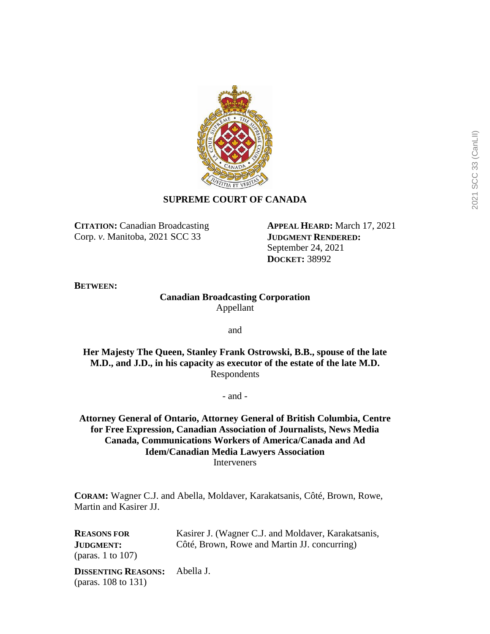

# **SUPREME COURT OF CANADA**

**CITATION:** Canadian Broadcasting Corp. *v*. Manitoba, 2021 SCC 33

**APPEAL HEARD:** March 17, 2021 **JUDGMENT RENDERED:** September 24, 2021 **DOCKET:** 38992

**BETWEEN:**

(paras. 108 to 131)

# **Canadian Broadcasting Corporation** Appellant

and

**Her Majesty The Queen, Stanley Frank Ostrowski, B.B., spouse of the late M.D., and J.D., in his capacity as executor of the estate of the late M.D.** Respondents

- and -

**Attorney General of Ontario, Attorney General of British Columbia, Centre for Free Expression, Canadian Association of Journalists, News Media Canada, Communications Workers of America/Canada and Ad Idem/Canadian Media Lawyers Association** Interveners

**CORAM:** Wagner C.J. and Abella, Moldaver, Karakatsanis, Côté, Brown, Rowe, Martin and Kasirer JJ.

**REASONS FOR JUDGMENT:** (paras. 1 to 107) Kasirer J. (Wagner C.J. and Moldaver, Karakatsanis, Côté, Brown, Rowe and Martin JJ. concurring) **DISSENTING REASONS:** Abella J.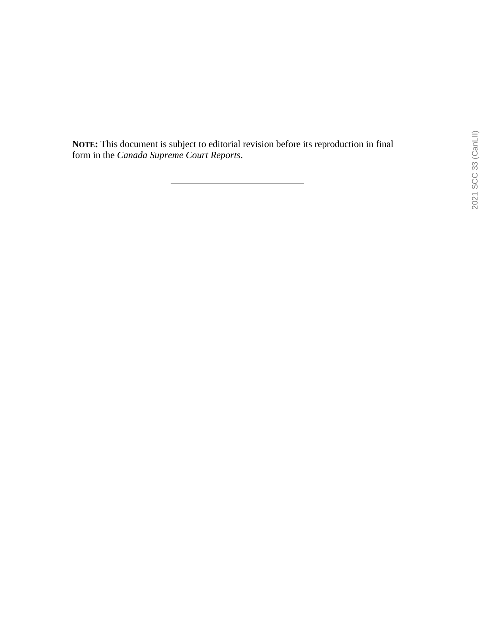**NOTE:** This document is subject to editorial revision before its reproduction in final form in the *Canada Supreme Court Reports*.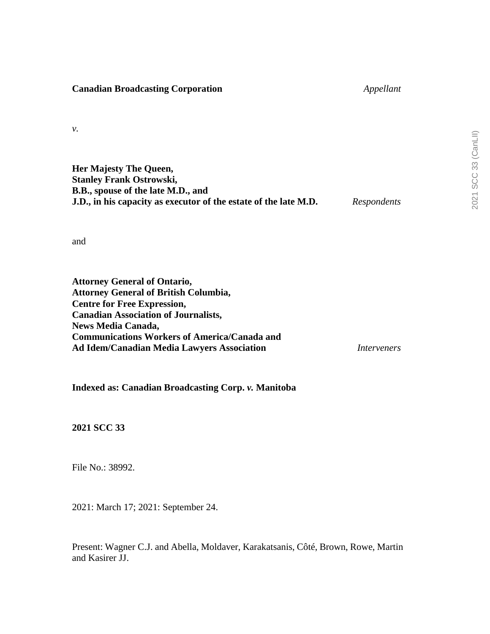**Canadian Broadcasting Corporation** *Appellant*

*v.*

| Her Majesty The Queen,                                           |             |
|------------------------------------------------------------------|-------------|
| <b>Stanley Frank Ostrowski,</b>                                  |             |
| B.B., spouse of the late M.D., and                               |             |
| J.D., in his capacity as executor of the estate of the late M.D. | Respondents |

and

**Attorney General of Ontario, Attorney General of British Columbia, Centre for Free Expression, Canadian Association of Journalists, News Media Canada, Communications Workers of America/Canada and Ad Idem/Canadian Media Lawyers Association** *Interveners*

**Indexed as: Canadian Broadcasting Corp.** *v.* **Manitoba**

**2021 SCC 33**

File No.: 38992.

2021: March 17; 2021: September 24.

Present: Wagner C.J. and Abella, Moldaver, Karakatsanis, Côté, Brown, Rowe, Martin and Kasirer JJ.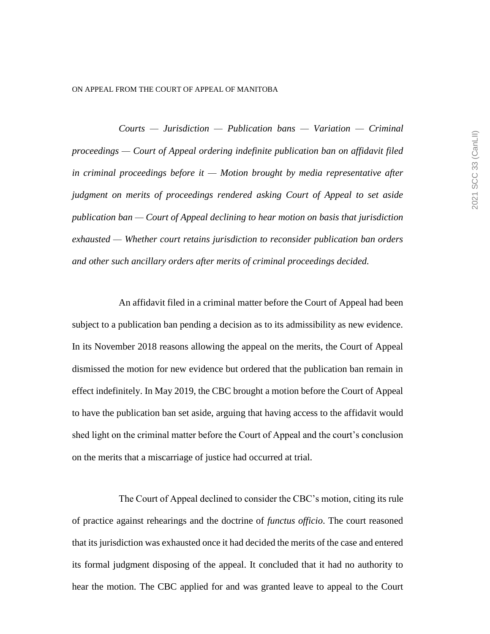#### ON APPEAL FROM THE COURT OF APPEAL OF MANITOBA

*Courts — Jurisdiction — Publication bans — Variation — Criminal proceedings — Court of Appeal ordering indefinite publication ban on affidavit filed in criminal proceedings before it — Motion brought by media representative after judgment on merits of proceedings rendered asking Court of Appeal to set aside publication ban — Court of Appeal declining to hear motion on basis that jurisdiction exhausted — Whether court retains jurisdiction to reconsider publication ban orders and other such ancillary orders after merits of criminal proceedings decided.* 

An affidavit filed in a criminal matter before the Court of Appeal had been subject to a publication ban pending a decision as to its admissibility as new evidence. In its November 2018 reasons allowing the appeal on the merits, the Court of Appeal dismissed the motion for new evidence but ordered that the publication ban remain in effect indefinitely. In May 2019, the CBC brought a motion before the Court of Appeal to have the publication ban set aside, arguing that having access to the affidavit would shed light on the criminal matter before the Court of Appeal and the court's conclusion on the merits that a miscarriage of justice had occurred at trial.

The Court of Appeal declined to consider the CBC's motion, citing its rule of practice against rehearings and the doctrine of *functus officio*. The court reasoned that its jurisdiction was exhausted once it had decided the merits of the case and entered its formal judgment disposing of the appeal. It concluded that it had no authority to hear the motion. The CBC applied for and was granted leave to appeal to the Court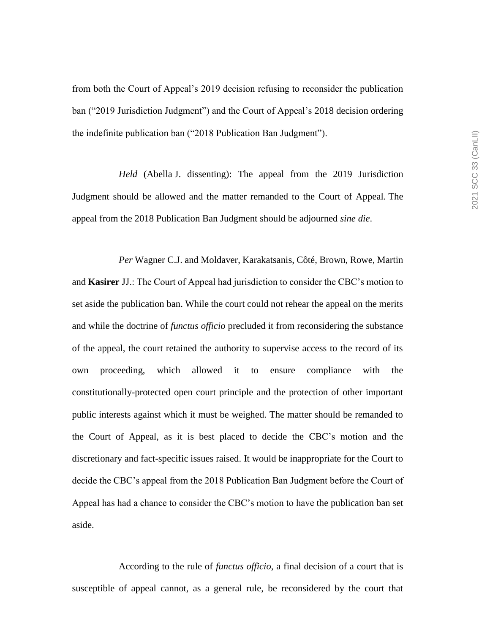from both the Court of Appeal's 2019 decision refusing to reconsider the publication ban ("2019 Jurisdiction Judgment") and the Court of Appeal's 2018 decision ordering the indefinite publication ban ("2018 Publication Ban Judgment").

*Held* (Abella J. dissenting): The appeal from the 2019 Jurisdiction Judgment should be allowed and the matter remanded to the Court of Appeal. The appeal from the 2018 Publication Ban Judgment should be adjourned *sine die*.

*Per* Wagner C.J. and Moldaver, Karakatsanis, Côté, Brown, Rowe, Martin and **Kasirer** JJ.: The Court of Appeal had jurisdiction to consider the CBC's motion to set aside the publication ban. While the court could not rehear the appeal on the merits and while the doctrine of *functus officio* precluded it from reconsidering the substance of the appeal, the court retained the authority to supervise access to the record of its own proceeding, which allowed it to ensure compliance with the constitutionally-protected open court principle and the protection of other important public interests against which it must be weighed. The matter should be remanded to the Court of Appeal, as it is best placed to decide the CBC's motion and the discretionary and fact-specific issues raised. It would be inappropriate for the Court to decide the CBC's appeal from the 2018 Publication Ban Judgment before the Court of Appeal has had a chance to consider the CBC's motion to have the publication ban set aside.

According to the rule of *functus officio*, a final decision of a court that is susceptible of appeal cannot, as a general rule, be reconsidered by the court that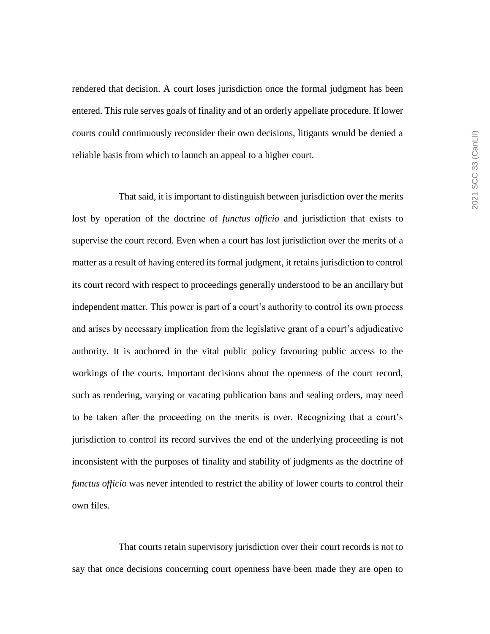rendered that decision. A court loses jurisdiction once the formal judgment has been entered. This rule serves goals of finality and of an orderly appellate procedure. If lower courts could continuously reconsider their own decisions, litigants would be denied a reliable basis from which to launch an appeal to a higher court.

That said, it is important to distinguish between jurisdiction over the merits lost by operation of the doctrine of *functus officio* and jurisdiction that exists to supervise the court record. Even when a court has lost jurisdiction over the merits of a matter as a result of having entered its formal judgment, it retains jurisdiction to control its court record with respect to proceedings generally understood to be an ancillary but independent matter. This power is part of a court's authority to control its own process and arises by necessary implication from the legislative grant of a court's adjudicative authority. It is anchored in the vital public policy favouring public access to the workings of the courts. Important decisions about the openness of the court record, such as rendering, varying or vacating publication bans and sealing orders, may need to be taken after the proceeding on the merits is over. Recognizing that a court's jurisdiction to control its record survives the end of the underlying proceeding is not inconsistent with the purposes of finality and stability of judgments as the doctrine of *functus officio* was never intended to restrict the ability of lower courts to control their own files.

That courts retain supervisory jurisdiction over their court records is not to say that once decisions concerning court openness have been made they are open to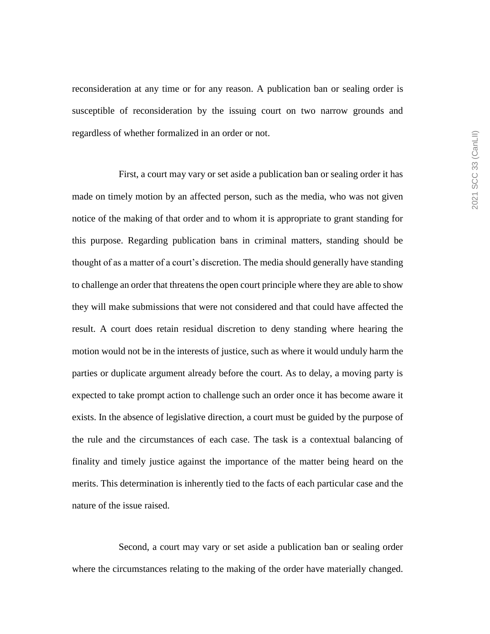reconsideration at any time or for any reason. A publication ban or sealing order is susceptible of reconsideration by the issuing court on two narrow grounds and regardless of whether formalized in an order or not.

First, a court may vary or set aside a publication ban or sealing order it has made on timely motion by an affected person, such as the media, who was not given notice of the making of that order and to whom it is appropriate to grant standing for this purpose. Regarding publication bans in criminal matters, standing should be thought of as a matter of a court's discretion. The media should generally have standing to challenge an order that threatens the open court principle where they are able to show they will make submissions that were not considered and that could have affected the result. A court does retain residual discretion to deny standing where hearing the motion would not be in the interests of justice, such as where it would unduly harm the parties or duplicate argument already before the court. As to delay, a moving party is expected to take prompt action to challenge such an order once it has become aware it exists. In the absence of legislative direction, a court must be guided by the purpose of the rule and the circumstances of each case. The task is a contextual balancing of finality and timely justice against the importance of the matter being heard on the merits. This determination is inherently tied to the facts of each particular case and the nature of the issue raised.

Second, a court may vary or set aside a publication ban or sealing order where the circumstances relating to the making of the order have materially changed.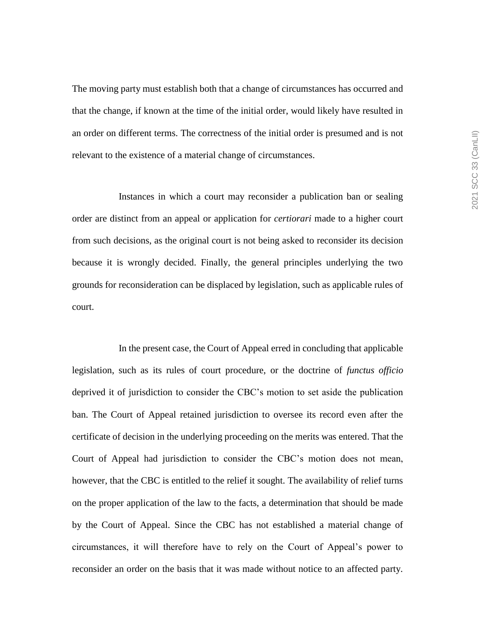The moving party must establish both that a change of circumstances has occurred and that the change, if known at the time of the initial order, would likely have resulted in an order on different terms. The correctness of the initial order is presumed and is not relevant to the existence of a material change of circumstances.

Instances in which a court may reconsider a publication ban or sealing order are distinct from an appeal or application for *certiorari* made to a higher court from such decisions, as the original court is not being asked to reconsider its decision because it is wrongly decided. Finally, the general principles underlying the two grounds for reconsideration can be displaced by legislation, such as applicable rules of court.

In the present case, the Court of Appeal erred in concluding that applicable legislation, such as its rules of court procedure, or the doctrine of *functus officio* deprived it of jurisdiction to consider the CBC's motion to set aside the publication ban. The Court of Appeal retained jurisdiction to oversee its record even after the certificate of decision in the underlying proceeding on the merits was entered. That the Court of Appeal had jurisdiction to consider the CBC's motion does not mean, however, that the CBC is entitled to the relief it sought. The availability of relief turns on the proper application of the law to the facts, a determination that should be made by the Court of Appeal. Since the CBC has not established a material change of circumstances, it will therefore have to rely on the Court of Appeal's power to reconsider an order on the basis that it was made without notice to an affected party.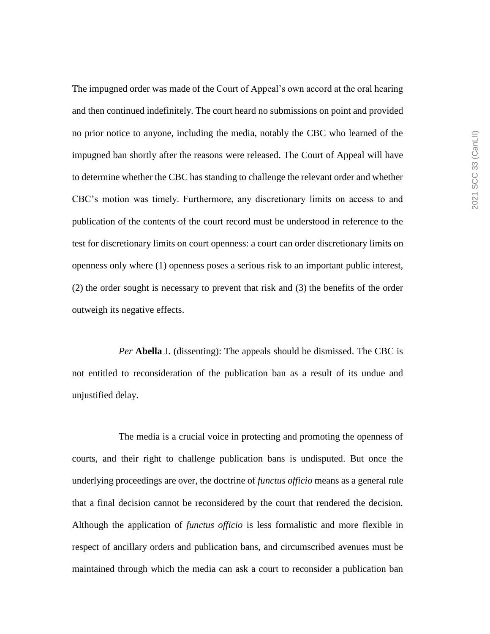The impugned order was made of the Court of Appeal's own accord at the oral hearing and then continued indefinitely. The court heard no submissions on point and provided no prior notice to anyone, including the media, notably the CBC who learned of the impugned ban shortly after the reasons were released. The Court of Appeal will have to determine whether the CBC has standing to challenge the relevant order and whether CBC's motion was timely. Furthermore, any discretionary limits on access to and publication of the contents of the court record must be understood in reference to the test for discretionary limits on court openness: a court can order discretionary limits on openness only where (1) openness poses a serious risk to an important public interest, (2) the order sought is necessary to prevent that risk and (3) the benefits of the order outweigh its negative effects.

*Per* **Abella** J. (dissenting): The appeals should be dismissed. The CBC is not entitled to reconsideration of the publication ban as a result of its undue and unjustified delay.

The media is a crucial voice in protecting and promoting the openness of courts, and their right to challenge publication bans is undisputed. But once the underlying proceedings are over, the doctrine of *functus officio* means as a general rule that a final decision cannot be reconsidered by the court that rendered the decision. Although the application of *functus officio* is less formalistic and more flexible in respect of ancillary orders and publication bans, and circumscribed avenues must be maintained through which the media can ask a court to reconsider a publication ban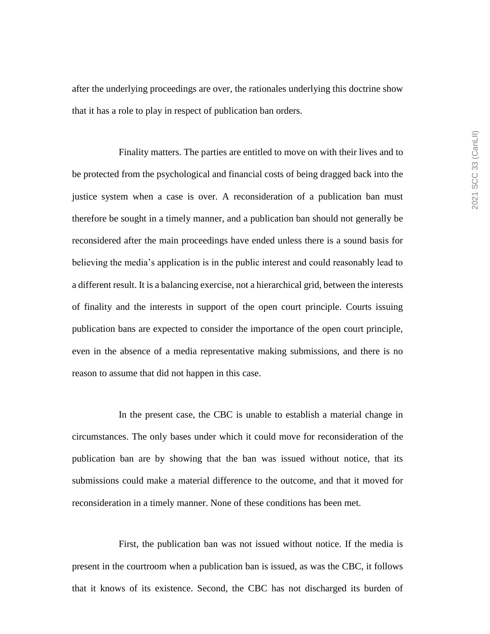after the underlying proceedings are over, the rationales underlying this doctrine show that it has a role to play in respect of publication ban orders.

Finality matters. The parties are entitled to move on with their lives and to be protected from the psychological and financial costs of being dragged back into the justice system when a case is over. A reconsideration of a publication ban must therefore be sought in a timely manner, and a publication ban should not generally be reconsidered after the main proceedings have ended unless there is a sound basis for believing the media's application is in the public interest and could reasonably lead to a different result. It is a balancing exercise, not a hierarchical grid, between the interests of finality and the interests in support of the open court principle. Courts issuing publication bans are expected to consider the importance of the open court principle, even in the absence of a media representative making submissions, and there is no reason to assume that did not happen in this case.

In the present case, the CBC is unable to establish a material change in circumstances. The only bases under which it could move for reconsideration of the publication ban are by showing that the ban was issued without notice, that its submissions could make a material difference to the outcome, and that it moved for reconsideration in a timely manner. None of these conditions has been met.

First, the publication ban was not issued without notice. If the media is present in the courtroom when a publication ban is issued, as was the CBC, it follows that it knows of its existence. Second, the CBC has not discharged its burden of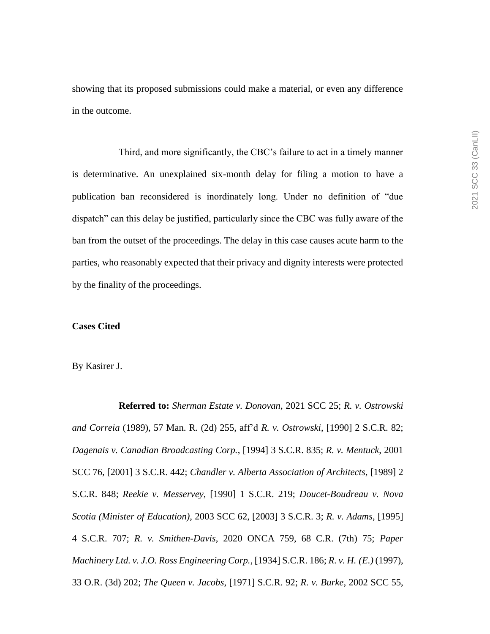showing that its proposed submissions could make a material, or even any difference in the outcome.

Third, and more significantly, the CBC's failure to act in a timely manner is determinative. An unexplained six-month delay for filing a motion to have a publication ban reconsidered is inordinately long. Under no definition of "due dispatch" can this delay be justified, particularly since the CBC was fully aware of the ban from the outset of the proceedings. The delay in this case causes acute harm to the parties, who reasonably expected that their privacy and dignity interests were protected by the finality of the proceedings.

## **Cases Cited**

By Kasirer J.

**Referred to:** *Sherman Estate v. Donovan*, 2021 SCC 25; *R. v. Ostrowski and Correia* (1989), 57 Man. R. (2d) 255, aff'd *R. v. Ostrowski*, [1990] 2 S.C.R. 82; *Dagenais v. Canadian Broadcasting Corp.*, [1994] 3 S.C.R. 835; *R. v. Mentuck*, 2001 SCC 76, [2001] 3 S.C.R. 442; *Chandler v. Alberta Association of Architects*, [1989] 2 S.C.R. 848; *Reekie v. Messervey*, [1990] 1 S.C.R. 219; *Doucet-Boudreau v. Nova Scotia (Minister of Education)*, 2003 SCC 62, [2003] 3 S.C.R. 3; *R. v. Adams*, [1995] 4 S.C.R. 707; *R. v. Smithen-Davis*, 2020 ONCA 759, 68 C.R. (7th) 75; *Paper Machinery Ltd. v. J.O. Ross Engineering Corp.*, [1934] S.C.R. 186; *R. v. H. (E.)* (1997), 33 O.R. (3d) 202; *The Queen v. Jacobs*, [1971] S.C.R. 92; *R. v. Burke*, 2002 SCC 55,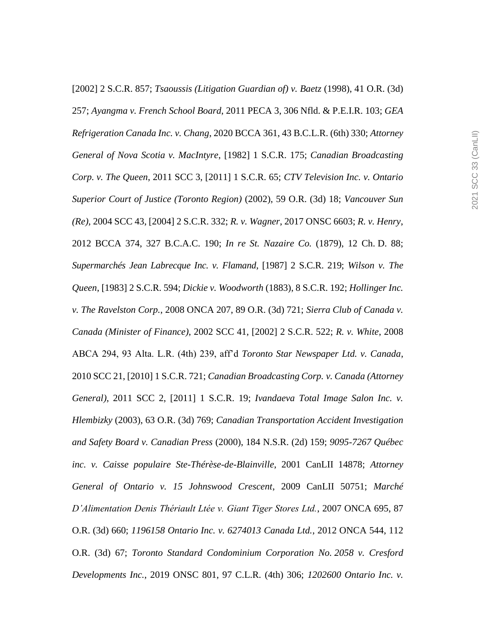[2002] 2 S.C.R. 857; *Tsaoussis (Litigation Guardian of) v. Baetz* (1998), 41 O.R. (3d) 257; *Ayangma v. French School Board*, 2011 PECA 3, 306 Nfld. & P.E.I.R. 103; *GEA Refrigeration Canada Inc. v. Chang*, 2020 BCCA 361, 43 B.C.L.R. (6th) 330; *Attorney General of Nova Scotia v. MacIntyre*, [1982] 1 S.C.R. 175; *Canadian Broadcasting Corp. v. The Queen*, 2011 SCC 3, [2011] 1 S.C.R. 65; *CTV Television Inc. v. Ontario Superior Court of Justice (Toronto Region)* (2002), 59 O.R. (3d) 18; *Vancouver Sun (Re)*, 2004 SCC 43, [2004] 2 S.C.R. 332; *R. v. Wagner*, 2017 ONSC 6603; *R. v. Henry*, 2012 BCCA 374, 327 B.C.A.C. 190; *In re St. Nazaire Co.* (1879), 12 Ch. D. 88; *Supermarchés Jean Labrecque Inc. v. Flamand*, [1987] 2 S.C.R. 219; *Wilson v. The Queen*, [1983] 2 S.C.R. 594; *Dickie v. Woodworth* (1883), 8 S.C.R. 192; *Hollinger Inc. v. The Ravelston Corp.*, 2008 ONCA 207, 89 O.R. (3d) 721; *Sierra Club of Canada v. Canada (Minister of Finance)*, 2002 SCC 41, [2002] 2 S.C.R. 522; *R. v. White*, 2008 ABCA 294, 93 Alta. L.R. (4th) 239, aff'd *Toronto Star Newspaper Ltd. v. Canada*, 2010 SCC 21, [2010] 1 S.C.R. 721; *Canadian Broadcasting Corp. v. Canada (Attorney General)*, 2011 SCC 2, [2011] 1 S.C.R. 19; *Ivandaeva Total Image Salon Inc. v. Hlembizky* (2003), 63 O.R. (3d) 769; *Canadian Transportation Accident Investigation and Safety Board v. Canadian Press* (2000), 184 N.S.R. (2d) 159; *9095-7267 Québec inc. v. Caisse populaire Ste-Thérèse-de-Blainville*, 2001 CanLII 14878; *Attorney General of Ontario v. 15 Johnswood Crescent*, 2009 CanLII 50751; *Marché D'Alimentation Denis Thériault Ltée v. Giant Tiger Stores Ltd.*, 2007 ONCA 695, 87 O.R. (3d) 660; *1196158 Ontario Inc. v. 6274013 Canada Ltd.*, 2012 ONCA 544, 112 O.R. (3d) 67; *Toronto Standard Condominium Corporation No. 2058 v. Cresford Developments Inc.*, 2019 ONSC 801, 97 C.L.R. (4th) 306; *1202600 Ontario Inc. v.*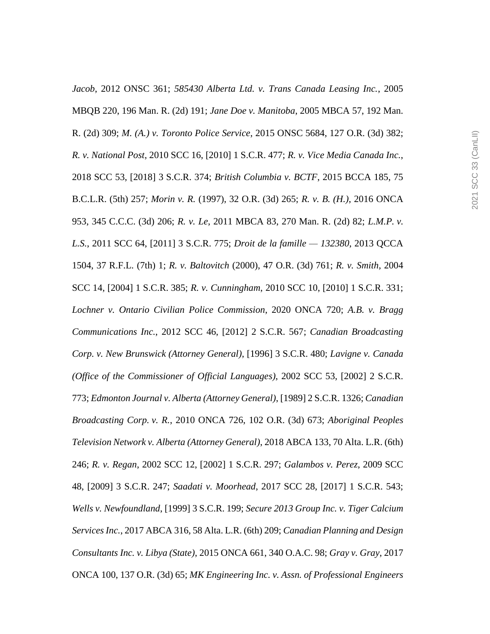*Jacob*, 2012 ONSC 361; *585430 Alberta Ltd. v. Trans Canada Leasing Inc.*, 2005 MBQB 220, 196 Man. R. (2d) 191; *Jane Doe v. Manitoba*, 2005 MBCA 57, 192 Man. R. (2d) 309; *M. (A.) v. Toronto Police Service*, 2015 ONSC 5684, 127 O.R. (3d) 382; *R. v. National Post*, 2010 SCC 16, [2010] 1 S.C.R. 477; *R. v. Vice Media Canada Inc.*, 2018 SCC 53, [2018] 3 S.C.R. 374; *British Columbia v. BCTF*, 2015 BCCA 185, 75 B.C.L.R. (5th) 257; *Morin v. R.* (1997), 32 O.R. (3d) 265; *R. v. B. (H.)*, 2016 ONCA 953, 345 C.C.C. (3d) 206; *R. v. Le*, 2011 MBCA 83, 270 Man. R. (2d) 82; *L.M.P. v. L.S.*, 2011 SCC 64, [2011] 3 S.C.R. 775; *Droit de la famille — 132380*, 2013 QCCA 1504, 37 R.F.L. (7th) 1; *R. v. Baltovitch* (2000), 47 O.R. (3d) 761; *R. v. Smith*, 2004 SCC 14, [2004] 1 S.C.R. 385; *R. v. Cunningham*, 2010 SCC 10, [2010] 1 S.C.R. 331; *Lochner v. Ontario Civilian Police Commission*, 2020 ONCA 720; *A.B. v. Bragg Communications Inc.*, 2012 SCC 46, [2012] 2 S.C.R. 567; *Canadian Broadcasting Corp. v. New Brunswick (Attorney General)*, [1996] 3 S.C.R. 480; *Lavigne v. Canada (Office of the Commissioner of Official Languages)*, 2002 SCC 53, [2002] 2 S.C.R. 773; *Edmonton Journal v. Alberta (Attorney General)*, [1989] 2 S.C.R. 1326; *Canadian Broadcasting Corp. v. R.*, 2010 ONCA 726, 102 O.R. (3d) 673; *Aboriginal Peoples Television Network v. Alberta (Attorney General)*, 2018 ABCA 133, 70 Alta. L.R. (6th) 246; *R. v. Regan*, 2002 SCC 12, [2002] 1 S.C.R. 297; *Galambos v. Perez*, 2009 SCC 48, [2009] 3 S.C.R. 247; *Saadati v. Moorhead*, 2017 SCC 28, [2017] 1 S.C.R. 543; *Wells v. Newfoundland*, [1999] 3 S.C.R. 199; *Secure 2013 Group Inc. v. Tiger Calcium Services Inc.*, 2017 ABCA 316, 58 Alta. L.R. (6th) 209; *Canadian Planning and Design Consultants Inc. v. Libya (State)*, 2015 ONCA 661, 340 O.A.C. 98; *Gray v. Gray*, 2017 ONCA 100, 137 O.R. (3d) 65; *MK Engineering Inc. v. Assn. of Professional Engineers*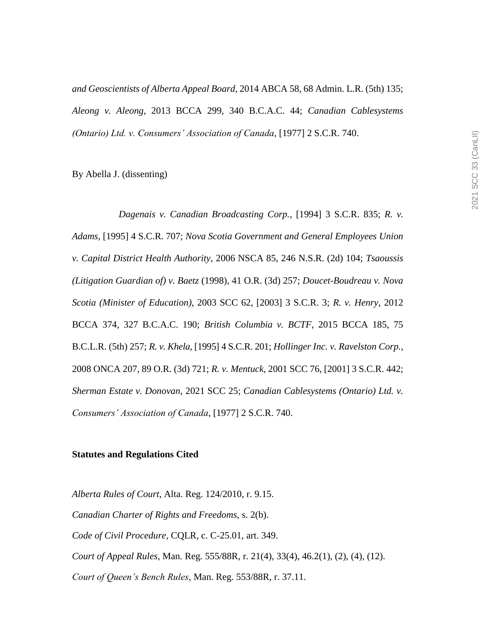*and Geoscientists of Alberta Appeal Board*, 2014 ABCA 58, 68 Admin. L.R. (5th) 135; *Aleong v. Aleong*, 2013 BCCA 299, 340 B.C.A.C. 44; *Canadian Cablesystems (Ontario) Ltd. v. Consumers' Association of Canada*, [1977] 2 S.C.R. 740.

By Abella J. (dissenting)

*Dagenais v. Canadian Broadcasting Corp.*, [1994] 3 S.C.R. 835; *R. v. Adams*, [1995] 4 S.C.R. 707; *Nova Scotia Government and General Employees Union v. Capital District Health Authority*, 2006 NSCA 85, 246 N.S.R. (2d) 104; *Tsaoussis (Litigation Guardian of) v. Baetz* (1998), 41 O.R. (3d) 257; *Doucet-Boudreau v. Nova Scotia (Minister of Education)*, 2003 SCC 62, [2003] 3 S.C.R. 3; *R. v. Henry*, 2012 BCCA 374, 327 B.C.A.C. 190; *British Columbia v. BCTF*, 2015 BCCA 185, 75 B.C.L.R. (5th) 257; *R. v. Khela*, [1995] 4 S.C.R. 201; *Hollinger Inc. v. Ravelston Corp.*, 2008 ONCA 207, 89 O.R. (3d) 721; *R. v. Mentuck*, 2001 SCC 76, [2001] 3 S.C.R. 442; *Sherman Estate v. Donovan*, 2021 SCC 25; *Canadian Cablesystems (Ontario) Ltd. v. Consumers' Association of Canada*, [1977] 2 S.C.R. 740.

#### **Statutes and Regulations Cited**

*Alberta Rules of Court*, Alta. Reg. 124/2010, r. 9.15. *Canadian Charter of Rights and Freedoms*, s. 2(b). *Code of Civil Procedure*, CQLR, c. C-25.01, art. 349. *Court of Appeal Rules*, Man. Reg. 555/88R, r. 21(4), 33(4), 46.2(1), (2), (4), (12). *Court of Queen's Bench Rules*, Man. Reg. 553/88R, r. 37.11.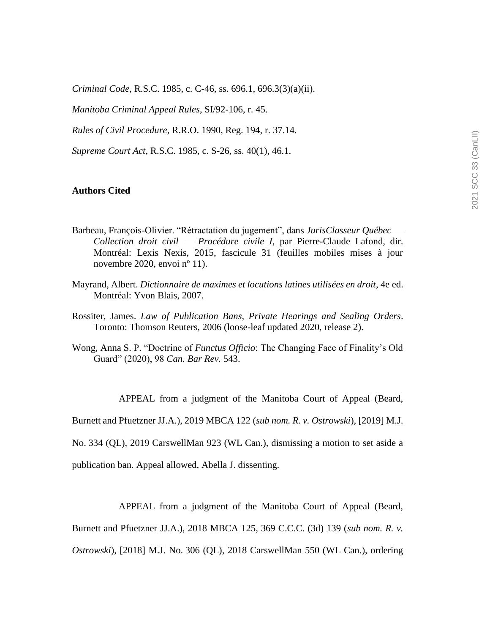*Criminal Code*, R.S.C. 1985, c. C-46, ss. 696.1, 696.3(3)(a)(ii).

*Manitoba Criminal Appeal Rules*, SI/92-106, r. 45.

*Rules of Civil Procedure*, R.R.O. 1990, Reg. 194, r. 37.14.

*Supreme Court Act*, R.S.C. 1985, c. S-26, ss. 40(1), 46.1.

#### **Authors Cited**

- Barbeau, François-Olivier. "Rétractation du jugement", dans *JurisClasseur Québec Collection droit civil* — *Procédure civile I*, par Pierre-Claude Lafond, dir. Montréal: Lexis Nexis, 2015, fascicule 31 (feuilles mobiles mises à jour novembre 2020, envoi nº 11).
- Mayrand, Albert. *Dictionnaire de maximes et locutions latines utilisées en droit*, 4e ed. Montréal: Yvon Blais, 2007.
- Rossiter, James. *Law of Publication Bans, Private Hearings and Sealing Orders*. Toronto: Thomson Reuters, 2006 (loose-leaf updated 2020, release 2).
- Wong, Anna S. P. "Doctrine of *Functus Officio*: The Changing Face of Finality's Old Guard" (2020), 98 *Can. Bar Rev.* 543.

APPEAL from a judgment of the Manitoba Court of Appeal (Beard,

Burnett and Pfuetzner JJ.A.), 2019 MBCA 122 (*sub nom. R. v. Ostrowski*), [2019] M.J.

No. 334 (QL), 2019 CarswellMan 923 (WL Can.), dismissing a motion to set aside a

publication ban. Appeal allowed, Abella J. dissenting.

APPEAL from a judgment of the Manitoba Court of Appeal (Beard,

Burnett and Pfuetzner JJ.A.), 2018 MBCA 125, 369 C.C.C. (3d) 139 (*sub nom. R. v.* 

*Ostrowski*), [2018] M.J. No. 306 (QL), 2018 CarswellMan 550 (WL Can.), ordering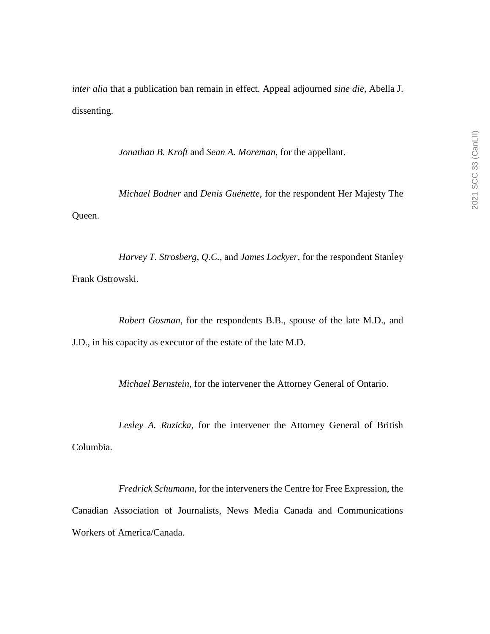*inter alia* that a publication ban remain in effect. Appeal adjourned *sine die*, Abella J. dissenting.

*Jonathan B. Kroft* and *Sean A. Moreman*, for the appellant.

*Michael Bodner* and *Denis Guénette*, for the respondent Her Majesty The Queen.

*Harvey T. Strosberg*, *Q.C.*, and *James Lockyer*, for the respondent Stanley Frank Ostrowski.

*Robert Gosman*, for the respondents B.B., spouse of the late M.D., and

J.D., in his capacity as executor of the estate of the late M.D.

*Michael Bernstein*, for the intervener the Attorney General of Ontario.

*Lesley A. Ruzicka*, for the intervener the Attorney General of British Columbia.

*Fredrick Schumann*, for the interveners the Centre for Free Expression, the Canadian Association of Journalists, News Media Canada and Communications Workers of America/Canada.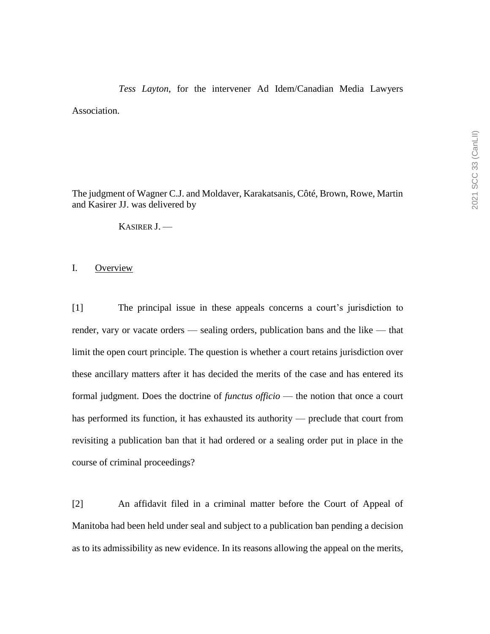# *Tess Layton*, for the intervener Ad Idem/Canadian Media Lawyers Association.

The judgment of Wagner C.J. and Moldaver, Karakatsanis, Côté, Brown, Rowe, Martin and Kasirer JJ. was delivered by

KASIRER J. —

#### I. Overview

[1] The principal issue in these appeals concerns a court's jurisdiction to render, vary or vacate orders — sealing orders, publication bans and the like — that limit the open court principle. The question is whether a court retains jurisdiction over these ancillary matters after it has decided the merits of the case and has entered its formal judgment. Does the doctrine of *functus officio* — the notion that once a court has performed its function, it has exhausted its authority — preclude that court from revisiting a publication ban that it had ordered or a sealing order put in place in the course of criminal proceedings?

[2] An affidavit filed in a criminal matter before the Court of Appeal of Manitoba had been held under seal and subject to a publication ban pending a decision as to its admissibility as new evidence. In its reasons allowing the appeal on the merits,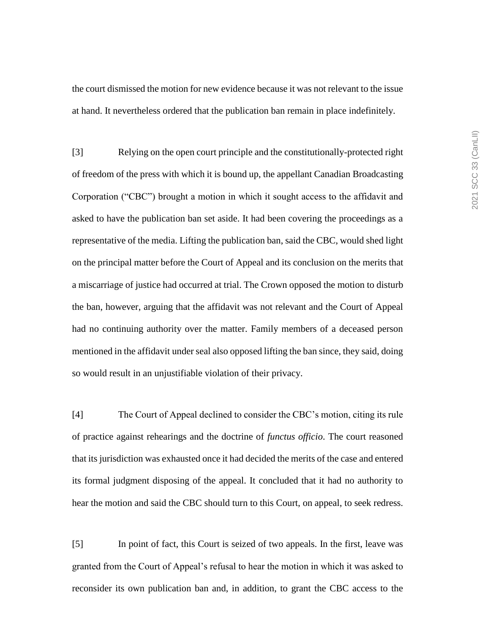the court dismissed the motion for new evidence because it was not relevant to the issue at hand. It nevertheless ordered that the publication ban remain in place indefinitely.

[3] Relying on the open court principle and the constitutionally-protected right of freedom of the press with which it is bound up, the appellant Canadian Broadcasting Corporation ("CBC") brought a motion in which it sought access to the affidavit and asked to have the publication ban set aside. It had been covering the proceedings as a representative of the media. Lifting the publication ban, said the CBC, would shed light on the principal matter before the Court of Appeal and its conclusion on the merits that a miscarriage of justice had occurred at trial. The Crown opposed the motion to disturb the ban, however, arguing that the affidavit was not relevant and the Court of Appeal had no continuing authority over the matter. Family members of a deceased person mentioned in the affidavit under seal also opposed lifting the ban since, they said, doing so would result in an unjustifiable violation of their privacy.

[4] The Court of Appeal declined to consider the CBC's motion, citing its rule of practice against rehearings and the doctrine of *functus officio*. The court reasoned that its jurisdiction was exhausted once it had decided the merits of the case and entered its formal judgment disposing of the appeal. It concluded that it had no authority to hear the motion and said the CBC should turn to this Court, on appeal, to seek redress.

[5] In point of fact, this Court is seized of two appeals. In the first, leave was granted from the Court of Appeal's refusal to hear the motion in which it was asked to reconsider its own publication ban and, in addition, to grant the CBC access to the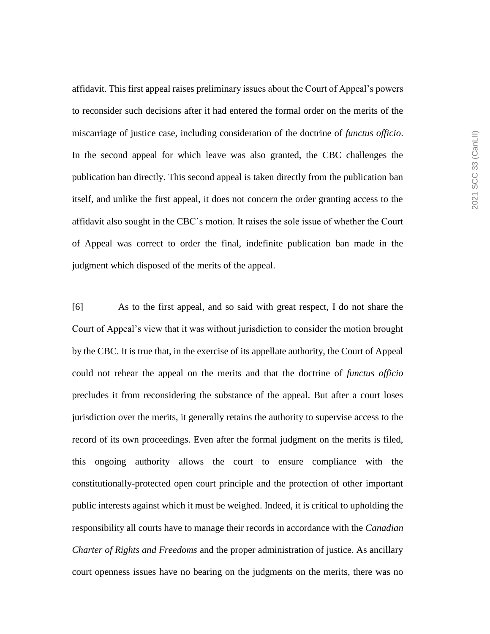affidavit. This first appeal raises preliminary issues about the Court of Appeal's powers to reconsider such decisions after it had entered the formal order on the merits of the miscarriage of justice case, including consideration of the doctrine of *functus officio*. In the second appeal for which leave was also granted, the CBC challenges the publication ban directly. This second appeal is taken directly from the publication ban itself, and unlike the first appeal, it does not concern the order granting access to the affidavit also sought in the CBC's motion. It raises the sole issue of whether the Court of Appeal was correct to order the final, indefinite publication ban made in the judgment which disposed of the merits of the appeal.

[6] As to the first appeal, and so said with great respect, I do not share the Court of Appeal's view that it was without jurisdiction to consider the motion brought by the CBC. It is true that, in the exercise of its appellate authority, the Court of Appeal could not rehear the appeal on the merits and that the doctrine of *functus officio* precludes it from reconsidering the substance of the appeal. But after a court loses jurisdiction over the merits, it generally retains the authority to supervise access to the record of its own proceedings. Even after the formal judgment on the merits is filed, this ongoing authority allows the court to ensure compliance with the constitutionally-protected open court principle and the protection of other important public interests against which it must be weighed. Indeed, it is critical to upholding the responsibility all courts have to manage their records in accordance with the *Canadian Charter of Rights and Freedoms* and the proper administration of justice. As ancillary court openness issues have no bearing on the judgments on the merits, there was no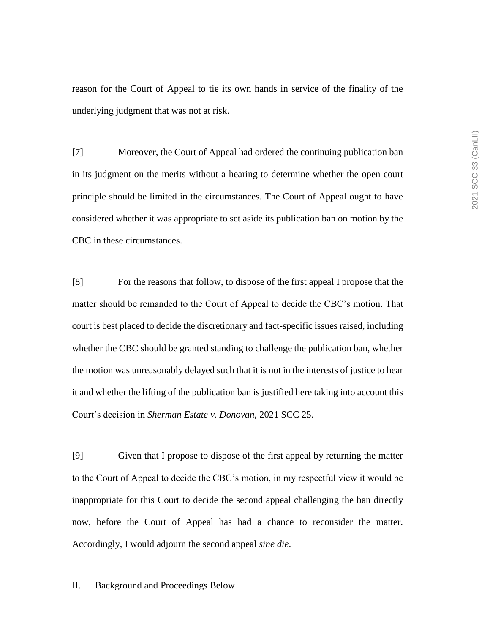reason for the Court of Appeal to tie its own hands in service of the finality of the underlying judgment that was not at risk.

[7] Moreover, the Court of Appeal had ordered the continuing publication ban in its judgment on the merits without a hearing to determine whether the open court principle should be limited in the circumstances. The Court of Appeal ought to have considered whether it was appropriate to set aside its publication ban on motion by the CBC in these circumstances.

[8] For the reasons that follow, to dispose of the first appeal I propose that the matter should be remanded to the Court of Appeal to decide the CBC's motion. That court is best placed to decide the discretionary and fact-specific issues raised, including whether the CBC should be granted standing to challenge the publication ban, whether the motion was unreasonably delayed such that it is not in the interests of justice to hear it and whether the lifting of the publication ban is justified here taking into account this Court's decision in *Sherman Estate v. Donovan*, 2021 SCC 25.

[9] Given that I propose to dispose of the first appeal by returning the matter to the Court of Appeal to decide the CBC's motion, in my respectful view it would be inappropriate for this Court to decide the second appeal challenging the ban directly now, before the Court of Appeal has had a chance to reconsider the matter. Accordingly, I would adjourn the second appeal *sine die*.

### II. Background and Proceedings Below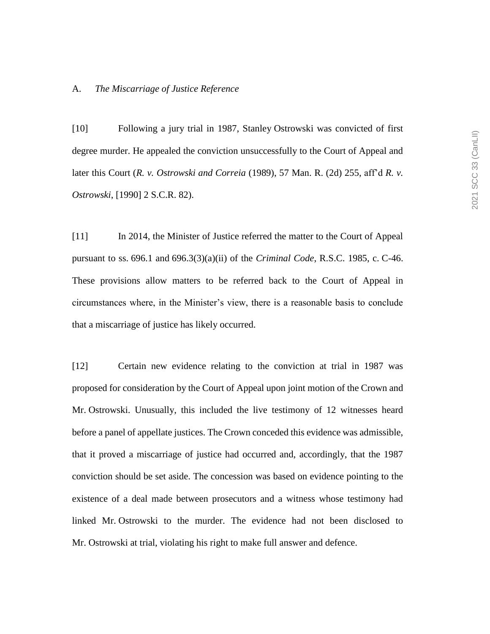#### A. *The Miscarriage of Justice Reference*

[10] Following a jury trial in 1987, Stanley Ostrowski was convicted of first degree murder. He appealed the conviction unsuccessfully to the Court of Appeal and later this Court (*R. v. Ostrowski and Correia* (1989), 57 Man. R. (2d) 255, aff'd *R. v. Ostrowski*, [1990] 2 S.C.R. 82).

[11] In 2014, the Minister of Justice referred the matter to the Court of Appeal pursuant to ss. 696.1 and 696.3(3)(a)(ii) of the *Criminal Code*, R.S.C. 1985, c. C-46. These provisions allow matters to be referred back to the Court of Appeal in circumstances where, in the Minister's view, there is a reasonable basis to conclude that a miscarriage of justice has likely occurred.

[12] Certain new evidence relating to the conviction at trial in 1987 was proposed for consideration by the Court of Appeal upon joint motion of the Crown and Mr. Ostrowski. Unusually, this included the live testimony of 12 witnesses heard before a panel of appellate justices. The Crown conceded this evidence was admissible, that it proved a miscarriage of justice had occurred and, accordingly, that the 1987 conviction should be set aside. The concession was based on evidence pointing to the existence of a deal made between prosecutors and a witness whose testimony had linked Mr. Ostrowski to the murder. The evidence had not been disclosed to Mr. Ostrowski at trial, violating his right to make full answer and defence.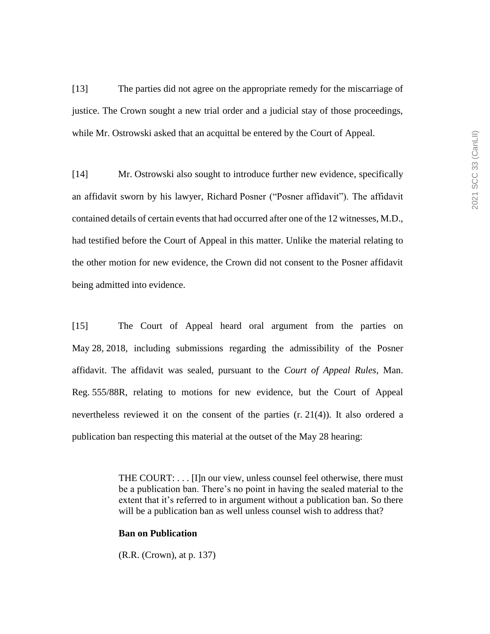[13] The parties did not agree on the appropriate remedy for the miscarriage of justice. The Crown sought a new trial order and a judicial stay of those proceedings, while Mr. Ostrowski asked that an acquittal be entered by the Court of Appeal.

[14] Mr. Ostrowski also sought to introduce further new evidence, specifically an affidavit sworn by his lawyer, Richard Posner ("Posner affidavit"). The affidavit contained details of certain events that had occurred after one of the 12 witnesses, M.D., had testified before the Court of Appeal in this matter. Unlike the material relating to the other motion for new evidence, the Crown did not consent to the Posner affidavit being admitted into evidence.

[15] The Court of Appeal heard oral argument from the parties on May 28, 2018, including submissions regarding the admissibility of the Posner affidavit. The affidavit was sealed, pursuant to the *Court of Appeal Rules*, Man. Reg. 555/88R, relating to motions for new evidence, but the Court of Appeal nevertheless reviewed it on the consent of the parties (r. 21(4)). It also ordered a publication ban respecting this material at the outset of the May 28 hearing:

> THE COURT: . . . [I]n our view, unless counsel feel otherwise, there must be a publication ban. There's no point in having the sealed material to the extent that it's referred to in argument without a publication ban. So there will be a publication ban as well unless counsel wish to address that?

### **Ban on Publication**

(R.R. (Crown), at p. 137)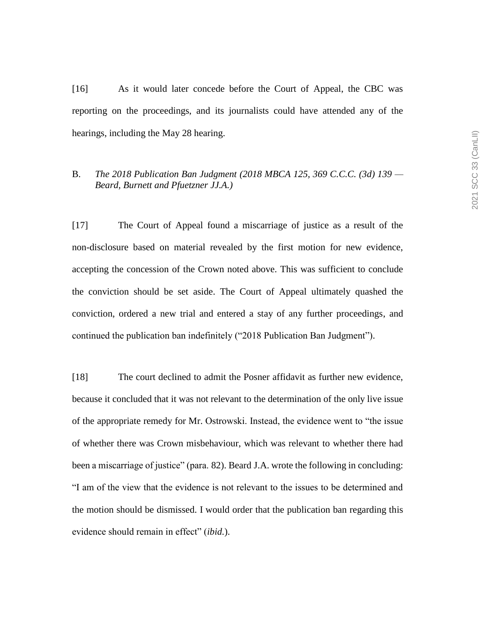[16] As it would later concede before the Court of Appeal, the CBC was reporting on the proceedings, and its journalists could have attended any of the hearings, including the May 28 hearing.

# B. *The 2018 Publication Ban Judgment (2018 MBCA 125, 369 C.C.C. (3d) 139 — Beard, Burnett and Pfuetzner JJ.A.)*

[17] The Court of Appeal found a miscarriage of justice as a result of the non-disclosure based on material revealed by the first motion for new evidence, accepting the concession of the Crown noted above. This was sufficient to conclude the conviction should be set aside. The Court of Appeal ultimately quashed the conviction, ordered a new trial and entered a stay of any further proceedings, and continued the publication ban indefinitely ("2018 Publication Ban Judgment").

[18] The court declined to admit the Posner affidavit as further new evidence, because it concluded that it was not relevant to the determination of the only live issue of the appropriate remedy for Mr. Ostrowski. Instead, the evidence went to "the issue of whether there was Crown misbehaviour, which was relevant to whether there had been a miscarriage of justice" (para. 82). Beard J.A. wrote the following in concluding: "I am of the view that the evidence is not relevant to the issues to be determined and the motion should be dismissed. I would order that the publication ban regarding this evidence should remain in effect" (*ibid.*).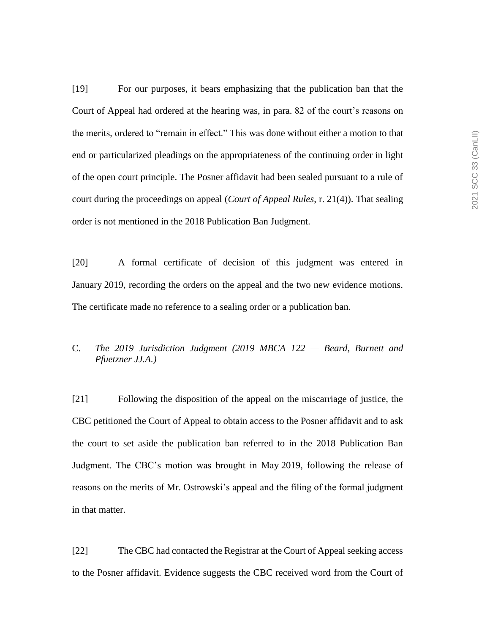[19] For our purposes, it bears emphasizing that the publication ban that the Court of Appeal had ordered at the hearing was, in para. 82 of the court's reasons on the merits, ordered to "remain in effect." This was done without either a motion to that end or particularized pleadings on the appropriateness of the continuing order in light of the open court principle. The Posner affidavit had been sealed pursuant to a rule of court during the proceedings on appeal (*Court of Appeal Rules*, r. 21(4)). That sealing order is not mentioned in the 2018 Publication Ban Judgment.

[20] A formal certificate of decision of this judgment was entered in January 2019, recording the orders on the appeal and the two new evidence motions. The certificate made no reference to a sealing order or a publication ban.

# C. *The 2019 Jurisdiction Judgment (2019 MBCA 122 — Beard, Burnett and Pfuetzner JJ.A.)*

[21] Following the disposition of the appeal on the miscarriage of justice, the CBC petitioned the Court of Appeal to obtain access to the Posner affidavit and to ask the court to set aside the publication ban referred to in the 2018 Publication Ban Judgment. The CBC's motion was brought in May 2019, following the release of reasons on the merits of Mr. Ostrowski's appeal and the filing of the formal judgment in that matter.

[22] The CBC had contacted the Registrar at the Court of Appeal seeking access to the Posner affidavit. Evidence suggests the CBC received word from the Court of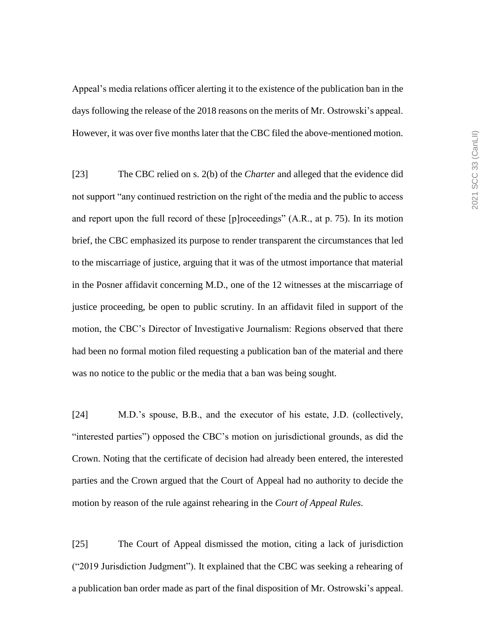Appeal's media relations officer alerting it to the existence of the publication ban in the days following the release of the 2018 reasons on the merits of Mr. Ostrowski's appeal. However, it was over five months later that the CBC filed the above-mentioned motion.

[23] The CBC relied on s. 2(b) of the *Charter* and alleged that the evidence did not support "any continued restriction on the right of the media and the public to access and report upon the full record of these [p]roceedings" (A.R., at p. 75). In its motion brief, the CBC emphasized its purpose to render transparent the circumstances that led to the miscarriage of justice, arguing that it was of the utmost importance that material in the Posner affidavit concerning M.D., one of the 12 witnesses at the miscarriage of justice proceeding, be open to public scrutiny. In an affidavit filed in support of the motion, the CBC's Director of Investigative Journalism: Regions observed that there had been no formal motion filed requesting a publication ban of the material and there was no notice to the public or the media that a ban was being sought.

[24] M.D.'s spouse, B.B., and the executor of his estate, J.D. (collectively, "interested parties") opposed the CBC's motion on jurisdictional grounds, as did the Crown. Noting that the certificate of decision had already been entered, the interested parties and the Crown argued that the Court of Appeal had no authority to decide the motion by reason of the rule against rehearing in the *Court of Appeal Rules*.

[25] The Court of Appeal dismissed the motion, citing a lack of jurisdiction ("2019 Jurisdiction Judgment"). It explained that the CBC was seeking a rehearing of a publication ban order made as part of the final disposition of Mr. Ostrowski's appeal.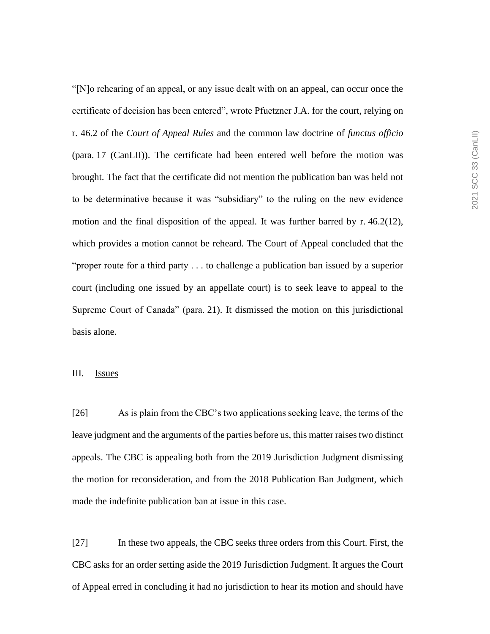"[N]o rehearing of an appeal, or any issue dealt with on an appeal, can occur once the certificate of decision has been entered", wrote Pfuetzner J.A. for the court, relying on r. 46.2 of the *Court of Appeal Rules* and the common law doctrine of *functus officio*  (para. 17 (CanLII)). The certificate had been entered well before the motion was brought. The fact that the certificate did not mention the publication ban was held not to be determinative because it was "subsidiary" to the ruling on the new evidence motion and the final disposition of the appeal. It was further barred by  $r. 46.2(12)$ , which provides a motion cannot be reheard. The Court of Appeal concluded that the "proper route for a third party . . . to challenge a publication ban issued by a superior court (including one issued by an appellate court) is to seek leave to appeal to the Supreme Court of Canada" (para. 21). It dismissed the motion on this jurisdictional basis alone.

## III. Issues

[26] As is plain from the CBC's two applications seeking leave, the terms of the leave judgment and the arguments of the parties before us, this matter raises two distinct appeals. The CBC is appealing both from the 2019 Jurisdiction Judgment dismissing the motion for reconsideration, and from the 2018 Publication Ban Judgment, which made the indefinite publication ban at issue in this case.

[27] In these two appeals, the CBC seeks three orders from this Court. First, the CBC asks for an order setting aside the 2019 Jurisdiction Judgment. It argues the Court of Appeal erred in concluding it had no jurisdiction to hear its motion and should have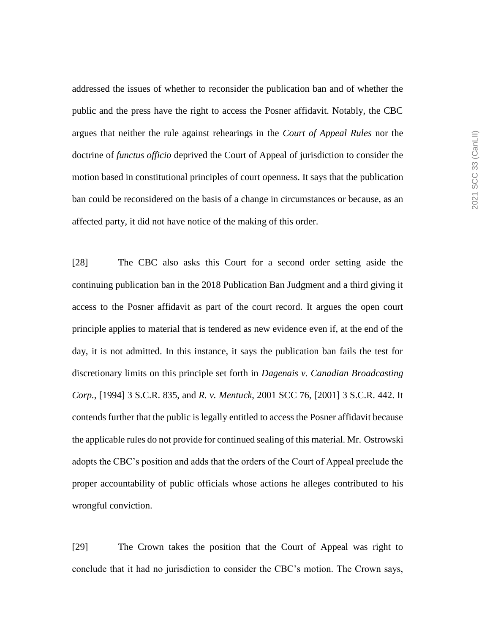addressed the issues of whether to reconsider the publication ban and of whether the public and the press have the right to access the Posner affidavit. Notably, the CBC argues that neither the rule against rehearings in the *Court of Appeal Rules* nor the doctrine of *functus officio* deprived the Court of Appeal of jurisdiction to consider the motion based in constitutional principles of court openness. It says that the publication ban could be reconsidered on the basis of a change in circumstances or because, as an affected party, it did not have notice of the making of this order.

[28] The CBC also asks this Court for a second order setting aside the continuing publication ban in the 2018 Publication Ban Judgment and a third giving it access to the Posner affidavit as part of the court record. It argues the open court principle applies to material that is tendered as new evidence even if, at the end of the day, it is not admitted. In this instance, it says the publication ban fails the test for discretionary limits on this principle set forth in *Dagenais v. Canadian Broadcasting Corp.*, [1994] 3 S.C.R. 835, and *R. v. Mentuck*, 2001 SCC 76, [2001] 3 S.C.R. 442. It contends further that the public is legally entitled to access the Posner affidavit because the applicable rules do not provide for continued sealing of this material. Mr. Ostrowski adopts the CBC's position and adds that the orders of the Court of Appeal preclude the proper accountability of public officials whose actions he alleges contributed to his wrongful conviction.

[29] The Crown takes the position that the Court of Appeal was right to conclude that it had no jurisdiction to consider the CBC's motion. The Crown says,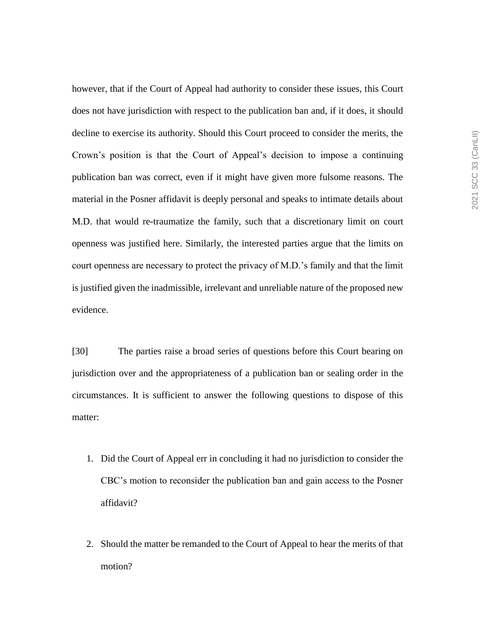however, that if the Court of Appeal had authority to consider these issues, this Court does not have jurisdiction with respect to the publication ban and, if it does, it should decline to exercise its authority. Should this Court proceed to consider the merits, the Crown's position is that the Court of Appeal's decision to impose a continuing publication ban was correct, even if it might have given more fulsome reasons. The material in the Posner affidavit is deeply personal and speaks to intimate details about M.D. that would re-traumatize the family, such that a discretionary limit on court openness was justified here. Similarly, the interested parties argue that the limits on court openness are necessary to protect the privacy of M.D.'s family and that the limit is justified given the inadmissible, irrelevant and unreliable nature of the proposed new evidence.

[30] The parties raise a broad series of questions before this Court bearing on jurisdiction over and the appropriateness of a publication ban or sealing order in the circumstances. It is sufficient to answer the following questions to dispose of this matter:

- 1. Did the Court of Appeal err in concluding it had no jurisdiction to consider the CBC's motion to reconsider the publication ban and gain access to the Posner affidavit?
- 2. Should the matter be remanded to the Court of Appeal to hear the merits of that motion?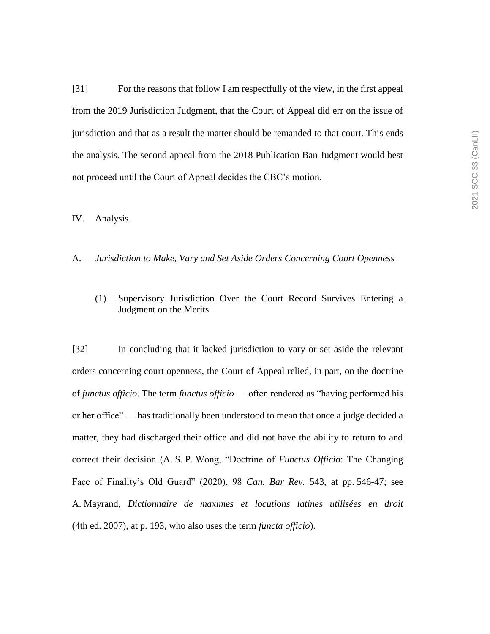[31] For the reasons that follow I am respectfully of the view, in the first appeal from the 2019 Jurisdiction Judgment, that the Court of Appeal did err on the issue of jurisdiction and that as a result the matter should be remanded to that court. This ends the analysis. The second appeal from the 2018 Publication Ban Judgment would best not proceed until the Court of Appeal decides the CBC's motion.

#### IV. Analysis

#### A. *Jurisdiction to Make, Vary and Set Aside Orders Concerning Court Openness*

# (1) Supervisory Jurisdiction Over the Court Record Survives Entering a Judgment on the Merits

[32] In concluding that it lacked jurisdiction to vary or set aside the relevant orders concerning court openness, the Court of Appeal relied, in part, on the doctrine of *functus officio*. The term *functus officio* — often rendered as "having performed his or her office" — has traditionally been understood to mean that once a judge decided a matter, they had discharged their office and did not have the ability to return to and correct their decision (A. S. P. Wong, "Doctrine of *Functus Officio*: The Changing Face of Finality's Old Guard" (2020), 98 *Can. Bar Rev.* 543, at pp. 546-47; see A. Mayrand, *Dictionnaire de maximes et locutions latines utilisées en droit*  (4th ed. 2007), at p. 193, who also uses the term *functa officio*).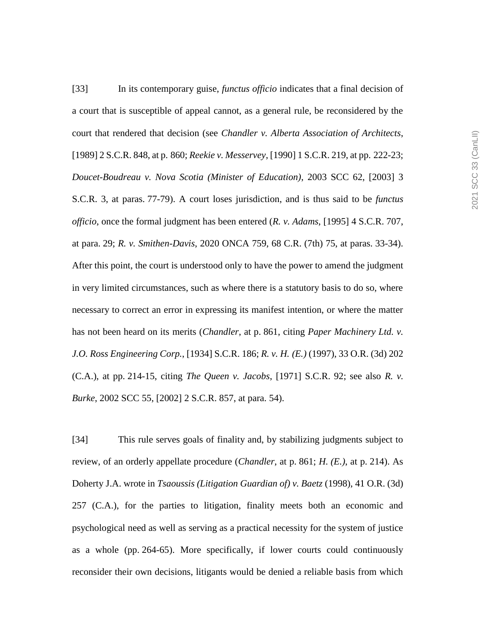[33] In its contemporary guise, *functus officio* indicates that a final decision of a court that is susceptible of appeal cannot, as a general rule, be reconsidered by the court that rendered that decision (see *Chandler v. Alberta Association of Architects*, [1989] 2 S.C.R. 848, at p. 860; *Reekie v. Messervey*, [1990] 1 S.C.R. 219, at pp. 222-23; *Doucet-Boudreau v. Nova Scotia (Minister of Education)*, 2003 SCC 62, [2003] 3 S.C.R. 3, at paras. 77-79). A court loses jurisdiction, and is thus said to be *functus officio*, once the formal judgment has been entered (*R. v. Adams*, [1995] 4 S.C.R. 707, at para. 29; *R. v. Smithen-Davis*, 2020 ONCA 759, 68 C.R. (7th) 75, at paras. 33-34). After this point, the court is understood only to have the power to amend the judgment in very limited circumstances, such as where there is a statutory basis to do so, where necessary to correct an error in expressing its manifest intention, or where the matter has not been heard on its merits (*Chandler*, at p. 861, citing *Paper Machinery Ltd. v. J.O. Ross Engineering Corp.*, [1934] S.C.R. 186; *R. v. H. (E.)* (1997), 33 O.R. (3d) 202 (C.A.), at pp. 214-15, citing *The Queen v. Jacobs*, [1971] S.C.R. 92; see also *R. v. Burke*, 2002 SCC 55, [2002] 2 S.C.R. 857, at para. 54).

[34] This rule serves goals of finality and, by stabilizing judgments subject to review, of an orderly appellate procedure (*Chandler*, at p. 861; *H. (E.)*, at p. 214). As Doherty J.A. wrote in *Tsaoussis (Litigation Guardian of) v. Baetz* (1998), 41 O.R. (3d) 257 (C.A.), for the parties to litigation, finality meets both an economic and psychological need as well as serving as a practical necessity for the system of justice as a whole (pp. 264-65). More specifically, if lower courts could continuously reconsider their own decisions, litigants would be denied a reliable basis from which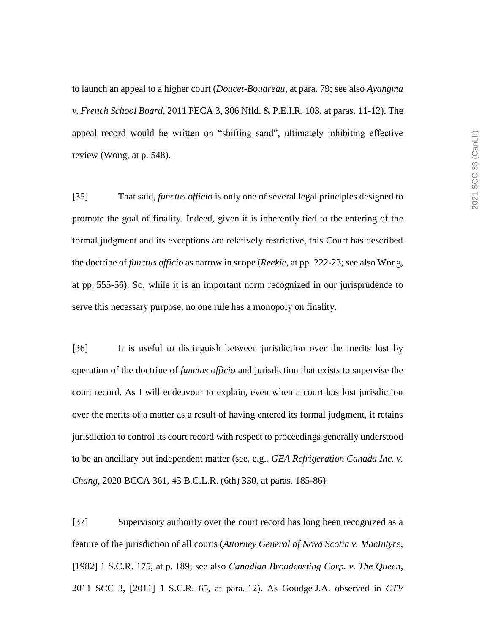to launch an appeal to a higher court (*Doucet-Boudreau*, at para. 79; see also *Ayangma v. French School Board*, 2011 PECA 3, 306 Nfld. & P.E.I.R. 103, at paras. 11-12). The appeal record would be written on "shifting sand", ultimately inhibiting effective review (Wong, at p. 548).

[35] That said, *functus officio* is only one of several legal principles designed to promote the goal of finality. Indeed, given it is inherently tied to the entering of the formal judgment and its exceptions are relatively restrictive, this Court has described the doctrine of *functus officio* as narrow in scope (*Reekie*, at pp. 222-23; see also Wong, at pp. 555-56). So, while it is an important norm recognized in our jurisprudence to serve this necessary purpose, no one rule has a monopoly on finality.

[36] It is useful to distinguish between jurisdiction over the merits lost by operation of the doctrine of *functus officio* and jurisdiction that exists to supervise the court record. As I will endeavour to explain, even when a court has lost jurisdiction over the merits of a matter as a result of having entered its formal judgment, it retains jurisdiction to control its court record with respect to proceedings generally understood to be an ancillary but independent matter (see, e.g., *GEA Refrigeration Canada Inc. v. Chang*, 2020 BCCA 361, 43 B.C.L.R. (6th) 330, at paras. 185-86).

[37] Supervisory authority over the court record has long been recognized as a feature of the jurisdiction of all courts (*Attorney General of Nova Scotia v. MacIntyre*, [1982] 1 S.C.R. 175, at p. 189; see also *Canadian Broadcasting Corp. v. The Queen*, 2011 SCC 3, [2011] 1 S.C.R. 65, at para. 12). As Goudge J.A. observed in *CTV*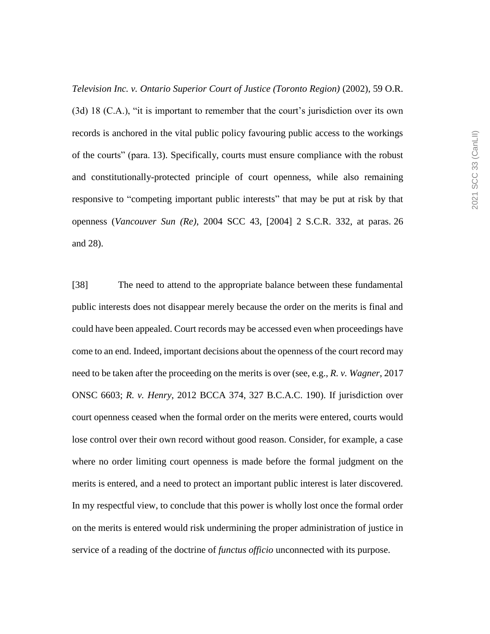*Television Inc. v. Ontario Superior Court of Justice (Toronto Region)* (2002), 59 O.R. (3d) 18 (C.A.), "it is important to remember that the court's jurisdiction over its own records is anchored in the vital public policy favouring public access to the workings of the courts" (para. 13). Specifically, courts must ensure compliance with the robust and constitutionally-protected principle of court openness, while also remaining responsive to "competing important public interests" that may be put at risk by that openness (*Vancouver Sun (Re)*, 2004 SCC 43, [2004] 2 S.C.R. 332, at paras. 26 and 28).

[38] The need to attend to the appropriate balance between these fundamental public interests does not disappear merely because the order on the merits is final and could have been appealed. Court records may be accessed even when proceedings have come to an end. Indeed, important decisions about the openness of the court record may need to be taken after the proceeding on the merits is over (see, e.g., *R. v. Wagner*, 2017 ONSC 6603; *R. v. Henry*, 2012 BCCA 374, 327 B.C.A.C. 190). If jurisdiction over court openness ceased when the formal order on the merits were entered, courts would lose control over their own record without good reason. Consider, for example, a case where no order limiting court openness is made before the formal judgment on the merits is entered, and a need to protect an important public interest is later discovered. In my respectful view, to conclude that this power is wholly lost once the formal order on the merits is entered would risk undermining the proper administration of justice in service of a reading of the doctrine of *functus officio* unconnected with its purpose.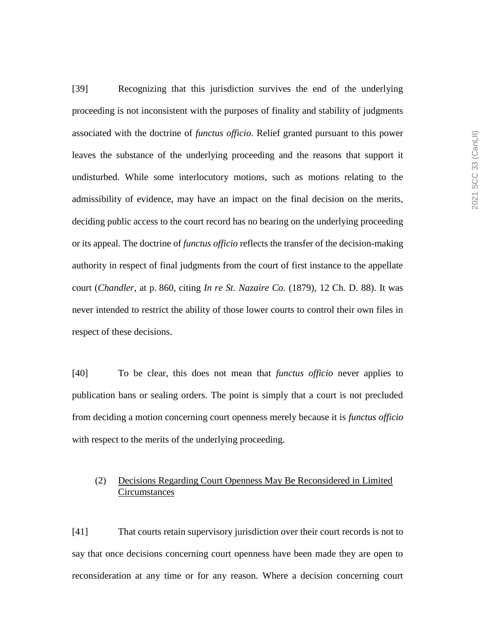[39] Recognizing that this jurisdiction survives the end of the underlying proceeding is not inconsistent with the purposes of finality and stability of judgments associated with the doctrine of *functus officio*. Relief granted pursuant to this power leaves the substance of the underlying proceeding and the reasons that support it undisturbed. While some interlocutory motions, such as motions relating to the admissibility of evidence, may have an impact on the final decision on the merits, deciding public access to the court record has no bearing on the underlying proceeding or its appeal. The doctrine of *functus officio* reflects the transfer of the decision-making authority in respect of final judgments from the court of first instance to the appellate court (*Chandler*, at p. 860, citing *In re St. Nazaire Co.* (1879), 12 Ch. D. 88). It was never intended to restrict the ability of those lower courts to control their own files in respect of these decisions.

[40] To be clear, this does not mean that *functus officio* never applies to publication bans or sealing orders. The point is simply that a court is not precluded from deciding a motion concerning court openness merely because it is *functus officio* with respect to the merits of the underlying proceeding.

# (2) Decisions Regarding Court Openness May Be Reconsidered in Limited **Circumstances**

[41] That courts retain supervisory jurisdiction over their court records is not to say that once decisions concerning court openness have been made they are open to reconsideration at any time or for any reason. Where a decision concerning court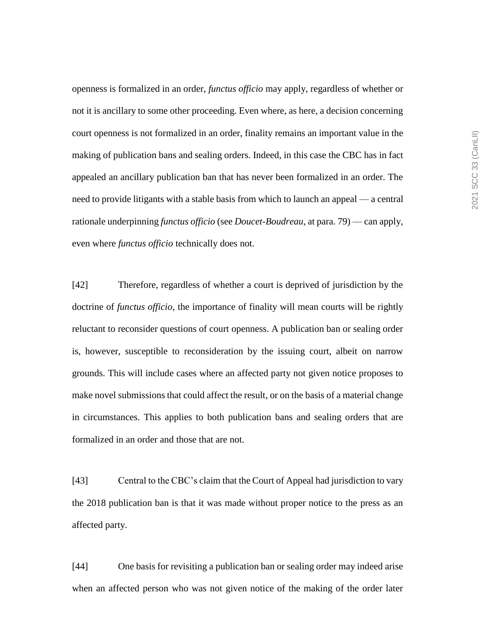openness is formalized in an order, *functus officio* may apply, regardless of whether or not it is ancillary to some other proceeding. Even where, as here, a decision concerning court openness is not formalized in an order, finality remains an important value in the making of publication bans and sealing orders. Indeed, in this case the CBC has in fact appealed an ancillary publication ban that has never been formalized in an order. The need to provide litigants with a stable basis from which to launch an appeal — a central rationale underpinning *functus officio* (see *Doucet-Boudreau*, at para. 79) — can apply, even where *functus officio* technically does not.

[42] Therefore, regardless of whether a court is deprived of jurisdiction by the doctrine of *functus officio*, the importance of finality will mean courts will be rightly reluctant to reconsider questions of court openness. A publication ban or sealing order is, however, susceptible to reconsideration by the issuing court, albeit on narrow grounds. This will include cases where an affected party not given notice proposes to make novel submissions that could affect the result, or on the basis of a material change in circumstances. This applies to both publication bans and sealing orders that are formalized in an order and those that are not.

[43] Central to the CBC's claim that the Court of Appeal had jurisdiction to vary the 2018 publication ban is that it was made without proper notice to the press as an affected party.

[44] One basis for revisiting a publication ban or sealing order may indeed arise when an affected person who was not given notice of the making of the order later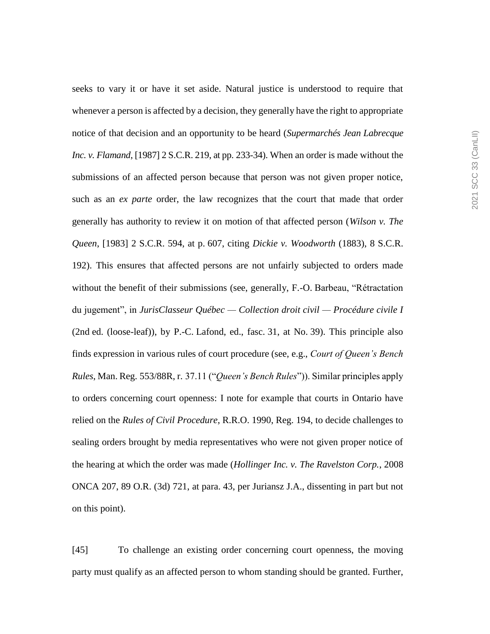seeks to vary it or have it set aside. Natural justice is understood to require that whenever a person is affected by a decision, they generally have the right to appropriate notice of that decision and an opportunity to be heard (*Supermarchés Jean Labrecque Inc. v. Flamand*, [1987] 2 S.C.R. 219, at pp. 233-34). When an order is made without the submissions of an affected person because that person was not given proper notice, such as an *ex parte* order, the law recognizes that the court that made that order generally has authority to review it on motion of that affected person (*Wilson v. The Queen*, [1983] 2 S.C.R. 594, at p. 607, citing *Dickie v. Woodworth* (1883), 8 S.C.R. 192). This ensures that affected persons are not unfairly subjected to orders made without the benefit of their submissions (see, generally, F.-O. Barbeau, "Rétractation du jugement", in *JurisClasseur Québec — Collection droit civil — Procédure civile I*  (2nd ed. (loose-leaf)), by P.-C. Lafond, ed., fasc. 31, at No. 39). This principle also finds expression in various rules of court procedure (see, e.g., *Court of Queen's Bench Rules*, Man. Reg. 553/88R, r. 37.11 ("*Queen's Bench Rules*")). Similar principles apply to orders concerning court openness: I note for example that courts in Ontario have relied on the *Rules of Civil Procedure*, R.R.O. 1990, Reg. 194, to decide challenges to sealing orders brought by media representatives who were not given proper notice of the hearing at which the order was made (*Hollinger Inc. v. The Ravelston Corp.*, 2008 ONCA 207, 89 O.R. (3d) 721, at para. 43, per Juriansz J.A., dissenting in part but not on this point).

[45] To challenge an existing order concerning court openness, the moving party must qualify as an affected person to whom standing should be granted. Further,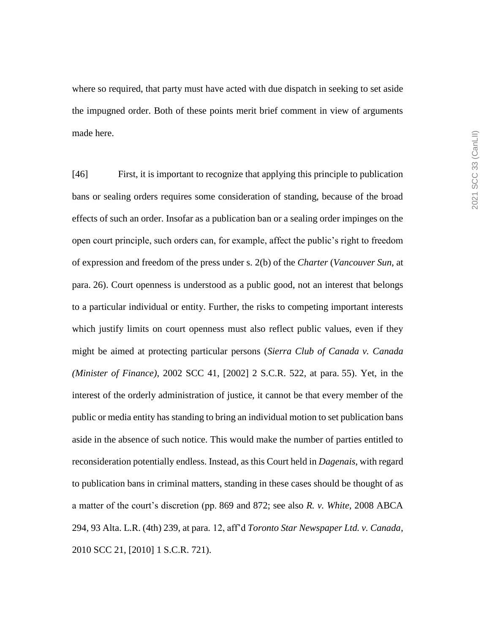where so required, that party must have acted with due dispatch in seeking to set aside the impugned order. Both of these points merit brief comment in view of arguments made here.

[46] First, it is important to recognize that applying this principle to publication bans or sealing orders requires some consideration of standing, because of the broad effects of such an order. Insofar as a publication ban or a sealing order impinges on the open court principle, such orders can, for example, affect the public's right to freedom of expression and freedom of the press under s. 2(b) of the *Charter* (*Vancouver Sun*, at para. 26). Court openness is understood as a public good, not an interest that belongs to a particular individual or entity. Further, the risks to competing important interests which justify limits on court openness must also reflect public values, even if they might be aimed at protecting particular persons (*Sierra Club of Canada v. Canada (Minister of Finance)*, 2002 SCC 41, [2002] 2 S.C.R. 522, at para. 55). Yet, in the interest of the orderly administration of justice, it cannot be that every member of the public or media entity has standing to bring an individual motion to set publication bans aside in the absence of such notice. This would make the number of parties entitled to reconsideration potentially endless. Instead, as this Court held in *Dagenais*, with regard to publication bans in criminal matters, standing in these cases should be thought of as a matter of the court's discretion (pp. 869 and 872; see also *R. v. White*, 2008 ABCA 294, 93 Alta. L.R. (4th) 239, at para. 12, aff'd *Toronto Star Newspaper Ltd. v. Canada*, 2010 SCC 21, [2010] 1 S.C.R. 721).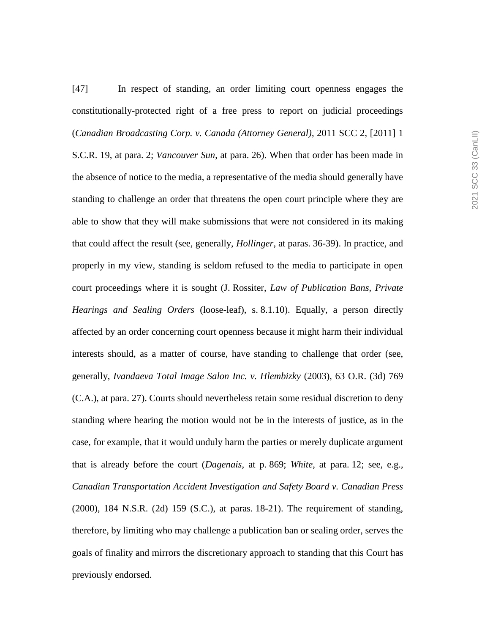[47] In respect of standing, an order limiting court openness engages the constitutionally-protected right of a free press to report on judicial proceedings (*Canadian Broadcasting Corp. v. Canada (Attorney General)*, 2011 SCC 2, [2011] 1 S.C.R. 19, at para. 2; *Vancouver Sun*, at para. 26). When that order has been made in the absence of notice to the media, a representative of the media should generally have standing to challenge an order that threatens the open court principle where they are able to show that they will make submissions that were not considered in its making that could affect the result (see, generally, *Hollinger*, at paras. 36-39). In practice, and properly in my view, standing is seldom refused to the media to participate in open court proceedings where it is sought (J. Rossiter, *Law of Publication Bans, Private Hearings and Sealing Orders* (loose-leaf), s. 8.1.10). Equally, a person directly affected by an order concerning court openness because it might harm their individual interests should, as a matter of course, have standing to challenge that order (see, generally, *Ivandaeva Total Image Salon Inc. v. Hlembizky* (2003), 63 O.R. (3d) 769 (C.A.), at para. 27). Courts should nevertheless retain some residual discretion to deny standing where hearing the motion would not be in the interests of justice, as in the case, for example, that it would unduly harm the parties or merely duplicate argument that is already before the court (*Dagenais*, at p. 869; *White*, at para. 12; see, e.g., *Canadian Transportation Accident Investigation and Safety Board v. Canadian Press* (2000), 184 N.S.R. (2d) 159 (S.C.), at paras. 18-21). The requirement of standing, therefore, by limiting who may challenge a publication ban or sealing order, serves the goals of finality and mirrors the discretionary approach to standing that this Court has previously endorsed.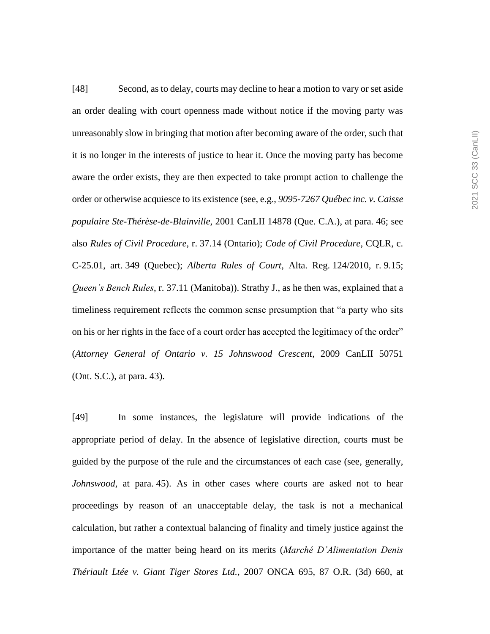[48] Second, as to delay, courts may decline to hear a motion to vary or set aside an order dealing with court openness made without notice if the moving party was unreasonably slow in bringing that motion after becoming aware of the order, such that it is no longer in the interests of justice to hear it. Once the moving party has become aware the order exists, they are then expected to take prompt action to challenge the order or otherwise acquiesce to its existence (see, e.g., *9095-7267 Québec inc. v. Caisse populaire Ste-Thérèse-de-Blainville*, 2001 CanLII 14878 (Que. C.A.), at para. 46; see also *Rules of Civil Procedure*, r. 37.14 (Ontario); *Code of Civil Procedure*, CQLR, c. C-25.01, art. 349 (Quebec); *Alberta Rules of Court*, Alta. Reg. 124/2010, r. 9.15; *Queen's Bench Rules*, r. 37.11 (Manitoba)). Strathy J., as he then was, explained that a timeliness requirement reflects the common sense presumption that "a party who sits on his or her rights in the face of a court order has accepted the legitimacy of the order" (*Attorney General of Ontario v. 15 Johnswood Crescent*, 2009 CanLII 50751 (Ont. S.C.), at para. 43).

[49] In some instances, the legislature will provide indications of the appropriate period of delay. In the absence of legislative direction, courts must be guided by the purpose of the rule and the circumstances of each case (see, generally, *Johnswood*, at para. 45). As in other cases where courts are asked not to hear proceedings by reason of an unacceptable delay, the task is not a mechanical calculation, but rather a contextual balancing of finality and timely justice against the importance of the matter being heard on its merits (*Marché D'Alimentation Denis Thériault Ltée v. Giant Tiger Stores Ltd.*, 2007 ONCA 695, 87 O.R. (3d) 660, at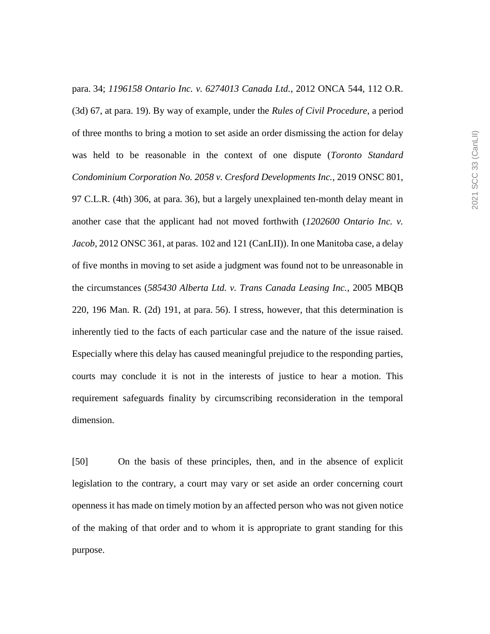para. 34; *1196158 Ontario Inc. v. 6274013 Canada Ltd.*, 2012 ONCA 544, 112 O.R. (3d) 67, at para. 19). By way of example, under the *Rules of Civil Procedure*, a period of three months to bring a motion to set aside an order dismissing the action for delay was held to be reasonable in the context of one dispute (*Toronto Standard Condominium Corporation No. 2058 v. Cresford Developments Inc.*, 2019 ONSC 801, 97 C.L.R. (4th) 306, at para. 36), but a largely unexplained ten-month delay meant in another case that the applicant had not moved forthwith (*1202600 Ontario Inc. v. Jacob*, 2012 ONSC 361, at paras. 102 and 121 (CanLII)). In one Manitoba case, a delay of five months in moving to set aside a judgment was found not to be unreasonable in the circumstances (*585430 Alberta Ltd. v. Trans Canada Leasing Inc.*, 2005 MBQB 220, 196 Man. R. (2d) 191, at para. 56). I stress, however, that this determination is inherently tied to the facts of each particular case and the nature of the issue raised. Especially where this delay has caused meaningful prejudice to the responding parties, courts may conclude it is not in the interests of justice to hear a motion. This requirement safeguards finality by circumscribing reconsideration in the temporal dimension.

[50] On the basis of these principles, then, and in the absence of explicit legislation to the contrary, a court may vary or set aside an order concerning court openness it has made on timely motion by an affected person who was not given notice of the making of that order and to whom it is appropriate to grant standing for this purpose.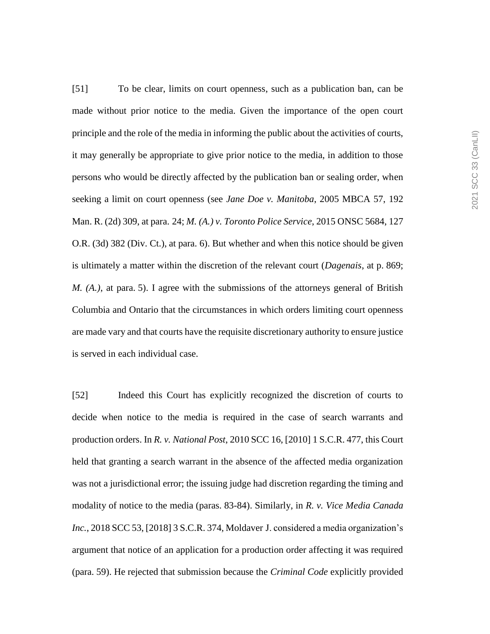[51] To be clear, limits on court openness, such as a publication ban, can be made without prior notice to the media. Given the importance of the open court principle and the role of the media in informing the public about the activities of courts, it may generally be appropriate to give prior notice to the media, in addition to those persons who would be directly affected by the publication ban or sealing order, when seeking a limit on court openness (see *Jane Doe v. Manitoba*, 2005 MBCA 57, 192 Man. R. (2d) 309, at para. 24; *M. (A.) v. Toronto Police Service*, 2015 ONSC 5684, 127 O.R. (3d) 382 (Div. Ct.), at para. 6). But whether and when this notice should be given is ultimately a matter within the discretion of the relevant court (*Dagenais*, at p. 869; *M. (A.)*, at para. 5). I agree with the submissions of the attorneys general of British Columbia and Ontario that the circumstances in which orders limiting court openness are made vary and that courts have the requisite discretionary authority to ensure justice is served in each individual case.

[52] Indeed this Court has explicitly recognized the discretion of courts to decide when notice to the media is required in the case of search warrants and production orders. In *R. v. National Post*, 2010 SCC 16, [2010] 1 S.C.R. 477, this Court held that granting a search warrant in the absence of the affected media organization was not a jurisdictional error; the issuing judge had discretion regarding the timing and modality of notice to the media (paras. 83-84). Similarly, in *R. v. Vice Media Canada Inc.*, 2018 SCC 53, [2018] 3 S.C.R. 374, Moldaver J. considered a media organization's argument that notice of an application for a production order affecting it was required (para. 59). He rejected that submission because the *Criminal Code* explicitly provided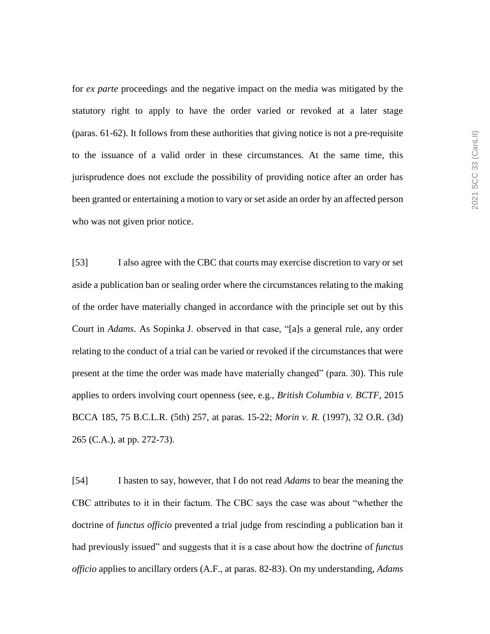for *ex parte* proceedings and the negative impact on the media was mitigated by the statutory right to apply to have the order varied or revoked at a later stage (paras. 61-62). It follows from these authorities that giving notice is not a pre-requisite to the issuance of a valid order in these circumstances. At the same time, this jurisprudence does not exclude the possibility of providing notice after an order has been granted or entertaining a motion to vary or set aside an order by an affected person who was not given prior notice.

[53] I also agree with the CBC that courts may exercise discretion to vary or set aside a publication ban or sealing order where the circumstances relating to the making of the order have materially changed in accordance with the principle set out by this Court in *Adams*. As Sopinka J. observed in that case, "[a]s a general rule, any order relating to the conduct of a trial can be varied or revoked if the circumstances that were present at the time the order was made have materially changed" (para. 30). This rule applies to orders involving court openness (see, e.g., *British Columbia v. BCTF*, 2015 BCCA 185, 75 B.C.L.R. (5th) 257, at paras. 15-22; *Morin v. R.* (1997), 32 O.R. (3d) 265 (C.A.), at pp. 272-73).

[54] I hasten to say, however, that I do not read *Adams* to bear the meaning the CBC attributes to it in their factum. The CBC says the case was about "whether the doctrine of *functus officio* prevented a trial judge from rescinding a publication ban it had previously issued" and suggests that it is a case about how the doctrine of *functus officio* applies to ancillary orders (A.F., at paras. 82-83). On my understanding, *Adams*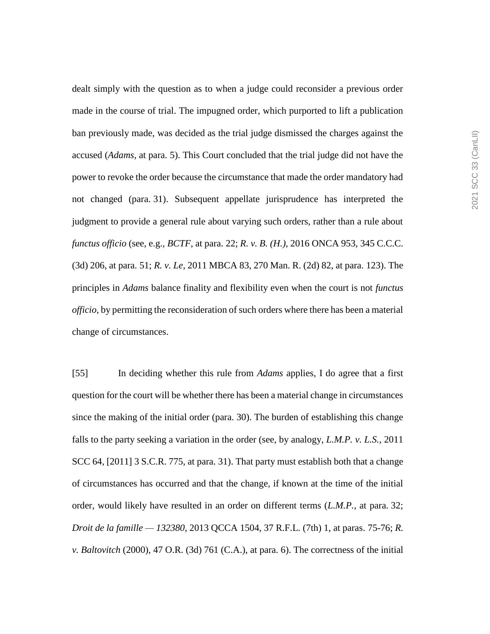dealt simply with the question as to when a judge could reconsider a previous order made in the course of trial. The impugned order, which purported to lift a publication ban previously made, was decided as the trial judge dismissed the charges against the accused (*Adams*, at para. 5). This Court concluded that the trial judge did not have the power to revoke the order because the circumstance that made the order mandatory had not changed (para. 31). Subsequent appellate jurisprudence has interpreted the judgment to provide a general rule about varying such orders, rather than a rule about *functus officio* (see, e.g., *BCTF*, at para. 22; *R. v. B. (H.)*, 2016 ONCA 953, 345 C.C.C. (3d) 206, at para. 51; *R. v. Le*, 2011 MBCA 83, 270 Man. R. (2d) 82, at para. 123). The principles in *Adams* balance finality and flexibility even when the court is not *functus officio*, by permitting the reconsideration of such orders where there has been a material change of circumstances.

[55] In deciding whether this rule from *Adams* applies, I do agree that a first question for the court will be whether there has been a material change in circumstances since the making of the initial order (para. 30). The burden of establishing this change falls to the party seeking a variation in the order (see, by analogy, *L.M.P. v. L.S.*, 2011 SCC 64, [2011] 3 S.C.R. 775, at para. 31). That party must establish both that a change of circumstances has occurred and that the change, if known at the time of the initial order, would likely have resulted in an order on different terms (*L.M.P.*, at para. 32; *Droit de la famille — 132380*, 2013 QCCA 1504, 37 R.F.L. (7th) 1, at paras. 75-76; *R. v. Baltovitch* (2000), 47 O.R. (3d) 761 (C.A.), at para. 6). The correctness of the initial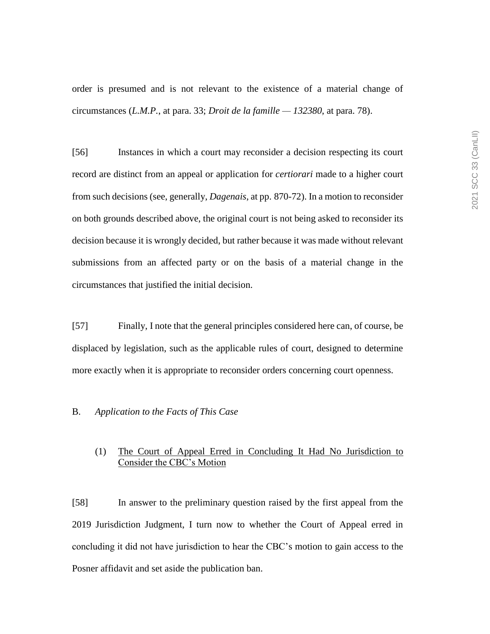order is presumed and is not relevant to the existence of a material change of circumstances (*L.M.P.*, at para. 33; *Droit de la famille — 132380*, at para. 78).

[56] Instances in which a court may reconsider a decision respecting its court record are distinct from an appeal or application for *certiorari* made to a higher court from such decisions (see, generally, *Dagenais*, at pp. 870-72). In a motion to reconsider on both grounds described above, the original court is not being asked to reconsider its decision because it is wrongly decided, but rather because it was made without relevant submissions from an affected party or on the basis of a material change in the circumstances that justified the initial decision.

[57] Finally, I note that the general principles considered here can, of course, be displaced by legislation, such as the applicable rules of court, designed to determine more exactly when it is appropriate to reconsider orders concerning court openness.

## B. *Application to the Facts of This Case*

## (1) The Court of Appeal Erred in Concluding It Had No Jurisdiction to Consider the CBC's Motion

[58] In answer to the preliminary question raised by the first appeal from the 2019 Jurisdiction Judgment, I turn now to whether the Court of Appeal erred in concluding it did not have jurisdiction to hear the CBC's motion to gain access to the Posner affidavit and set aside the publication ban.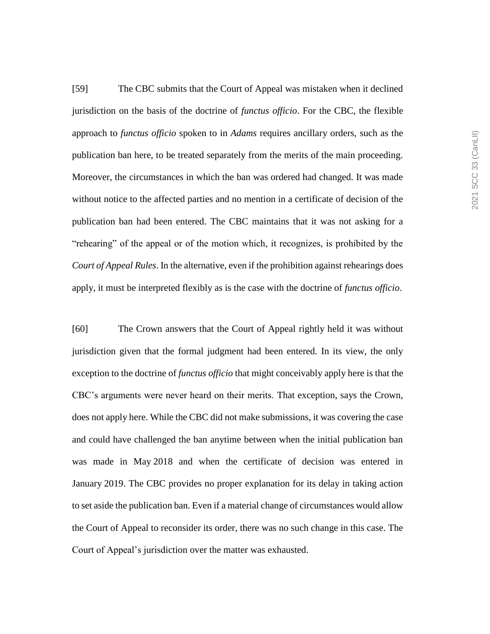[59] The CBC submits that the Court of Appeal was mistaken when it declined jurisdiction on the basis of the doctrine of *functus officio*. For the CBC, the flexible approach to *functus officio* spoken to in *Adams* requires ancillary orders, such as the publication ban here, to be treated separately from the merits of the main proceeding. Moreover, the circumstances in which the ban was ordered had changed. It was made without notice to the affected parties and no mention in a certificate of decision of the publication ban had been entered. The CBC maintains that it was not asking for a "rehearing" of the appeal or of the motion which, it recognizes, is prohibited by the *Court of Appeal Rules*. In the alternative, even if the prohibition against rehearings does apply, it must be interpreted flexibly as is the case with the doctrine of *functus officio*.

[60] The Crown answers that the Court of Appeal rightly held it was without jurisdiction given that the formal judgment had been entered. In its view, the only exception to the doctrine of *functus officio* that might conceivably apply here is that the CBC's arguments were never heard on their merits. That exception, says the Crown, does not apply here. While the CBC did not make submissions, it was covering the case and could have challenged the ban anytime between when the initial publication ban was made in May 2018 and when the certificate of decision was entered in January 2019. The CBC provides no proper explanation for its delay in taking action to set aside the publication ban. Even if a material change of circumstances would allow the Court of Appeal to reconsider its order, there was no such change in this case. The Court of Appeal's jurisdiction over the matter was exhausted.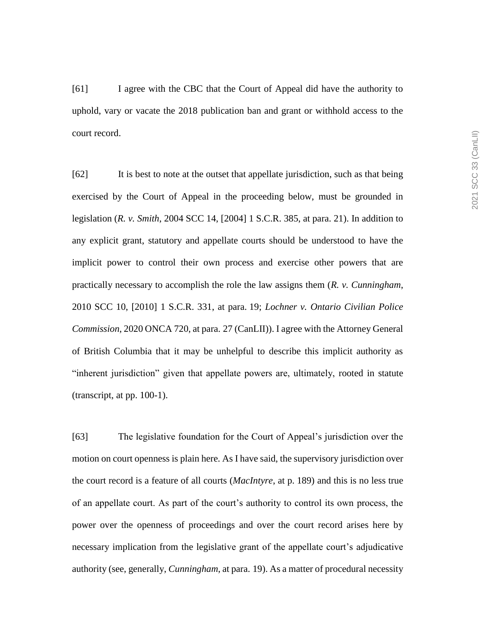[61] I agree with the CBC that the Court of Appeal did have the authority to uphold, vary or vacate the 2018 publication ban and grant or withhold access to the court record.

[62] It is best to note at the outset that appellate jurisdiction, such as that being exercised by the Court of Appeal in the proceeding below, must be grounded in legislation (*R. v. Smith*, 2004 SCC 14, [2004] 1 S.C.R. 385, at para. 21). In addition to any explicit grant, statutory and appellate courts should be understood to have the implicit power to control their own process and exercise other powers that are practically necessary to accomplish the role the law assigns them (*R. v. Cunningham*, 2010 SCC 10, [2010] 1 S.C.R. 331, at para. 19; *Lochner v. Ontario Civilian Police Commission*, 2020 ONCA 720, at para. 27 (CanLII)). I agree with the Attorney General of British Columbia that it may be unhelpful to describe this implicit authority as "inherent jurisdiction" given that appellate powers are, ultimately, rooted in statute (transcript, at pp. 100-1).

[63] The legislative foundation for the Court of Appeal's jurisdiction over the motion on court openness is plain here. As I have said, the supervisory jurisdiction over the court record is a feature of all courts (*MacIntyre*, at p. 189) and this is no less true of an appellate court. As part of the court's authority to control its own process, the power over the openness of proceedings and over the court record arises here by necessary implication from the legislative grant of the appellate court's adjudicative authority (see, generally, *Cunningham*, at para. 19). As a matter of procedural necessity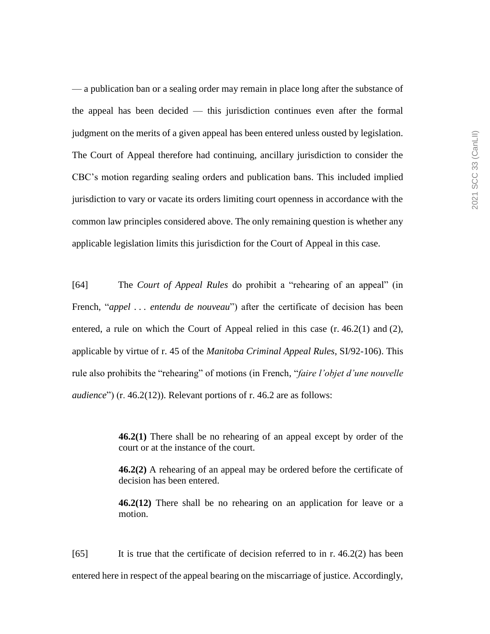— a publication ban or a sealing order may remain in place long after the substance of the appeal has been decided — this jurisdiction continues even after the formal judgment on the merits of a given appeal has been entered unless ousted by legislation. The Court of Appeal therefore had continuing, ancillary jurisdiction to consider the CBC's motion regarding sealing orders and publication bans. This included implied jurisdiction to vary or vacate its orders limiting court openness in accordance with the common law principles considered above. The only remaining question is whether any applicable legislation limits this jurisdiction for the Court of Appeal in this case.

[64] The *Court of Appeal Rules* do prohibit a "rehearing of an appeal" (in French, "*appel . . . entendu de nouveau*") after the certificate of decision has been entered, a rule on which the Court of Appeal relied in this case (r. 46.2(1) and (2), applicable by virtue of r. 45 of the *Manitoba Criminal Appeal Rules*, SI/92-106). This rule also prohibits the "rehearing" of motions (in French, "*faire l'objet d'une nouvelle audience*") (r. 46.2(12)). Relevant portions of r. 46.2 are as follows:

> **46.2(1)** There shall be no rehearing of an appeal except by order of the court or at the instance of the court.

> **46.2(2)** A rehearing of an appeal may be ordered before the certificate of decision has been entered.

> **46.2(12)** There shall be no rehearing on an application for leave or a motion.

 $[65]$  It is true that the certificate of decision referred to in r. 46.2(2) has been entered here in respect of the appeal bearing on the miscarriage of justice. Accordingly,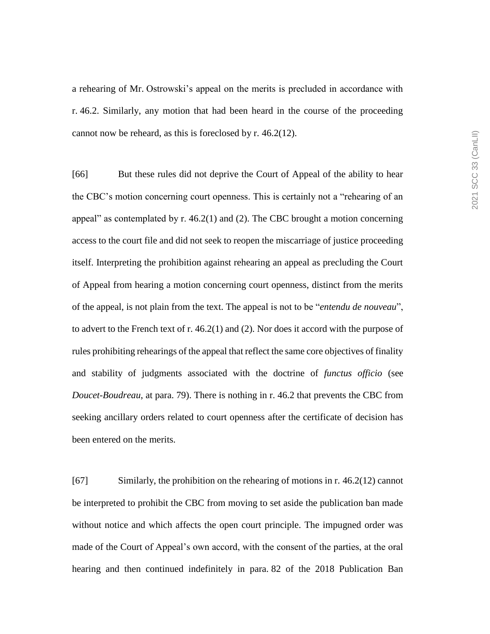a rehearing of Mr. Ostrowski's appeal on the merits is precluded in accordance with r. 46.2. Similarly, any motion that had been heard in the course of the proceeding cannot now be reheard, as this is foreclosed by r. 46.2(12).

[66] But these rules did not deprive the Court of Appeal of the ability to hear the CBC's motion concerning court openness. This is certainly not a "rehearing of an appeal" as contemplated by  $r. 46.2(1)$  and (2). The CBC brought a motion concerning access to the court file and did not seek to reopen the miscarriage of justice proceeding itself. Interpreting the prohibition against rehearing an appeal as precluding the Court of Appeal from hearing a motion concerning court openness, distinct from the merits of the appeal, is not plain from the text. The appeal is not to be "*entendu de nouveau*", to advert to the French text of r. 46.2(1) and (2). Nor does it accord with the purpose of rules prohibiting rehearings of the appeal that reflect the same core objectives of finality and stability of judgments associated with the doctrine of *functus officio* (see *Doucet-Boudreau*, at para. 79). There is nothing in r. 46.2 that prevents the CBC from seeking ancillary orders related to court openness after the certificate of decision has been entered on the merits.

[67] Similarly, the prohibition on the rehearing of motions in r. 46.2(12) cannot be interpreted to prohibit the CBC from moving to set aside the publication ban made without notice and which affects the open court principle. The impugned order was made of the Court of Appeal's own accord, with the consent of the parties, at the oral hearing and then continued indefinitely in para. 82 of the 2018 Publication Ban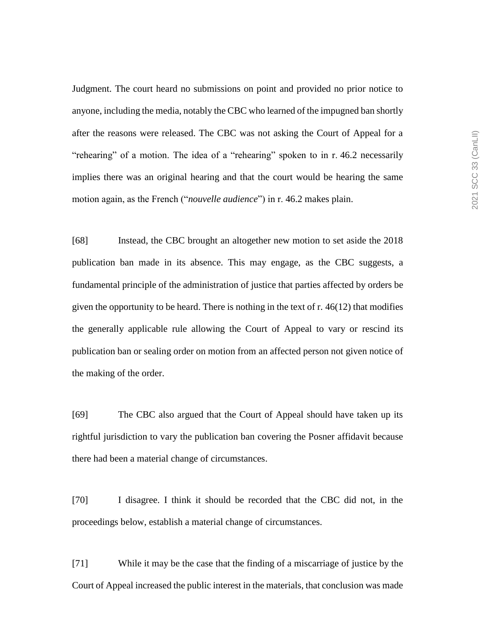Judgment. The court heard no submissions on point and provided no prior notice to anyone, including the media, notably the CBC who learned of the impugned ban shortly after the reasons were released. The CBC was not asking the Court of Appeal for a "rehearing" of a motion. The idea of a "rehearing" spoken to in r. 46.2 necessarily implies there was an original hearing and that the court would be hearing the same motion again, as the French ("*nouvelle audience*") in r. 46.2 makes plain.

[68] Instead, the CBC brought an altogether new motion to set aside the 2018 publication ban made in its absence. This may engage, as the CBC suggests, a fundamental principle of the administration of justice that parties affected by orders be given the opportunity to be heard. There is nothing in the text of  $r$ . 46(12) that modifies the generally applicable rule allowing the Court of Appeal to vary or rescind its publication ban or sealing order on motion from an affected person not given notice of the making of the order.

[69] The CBC also argued that the Court of Appeal should have taken up its rightful jurisdiction to vary the publication ban covering the Posner affidavit because there had been a material change of circumstances.

[70] I disagree. I think it should be recorded that the CBC did not, in the proceedings below, establish a material change of circumstances.

[71] While it may be the case that the finding of a miscarriage of justice by the Court of Appeal increased the public interest in the materials, that conclusion was made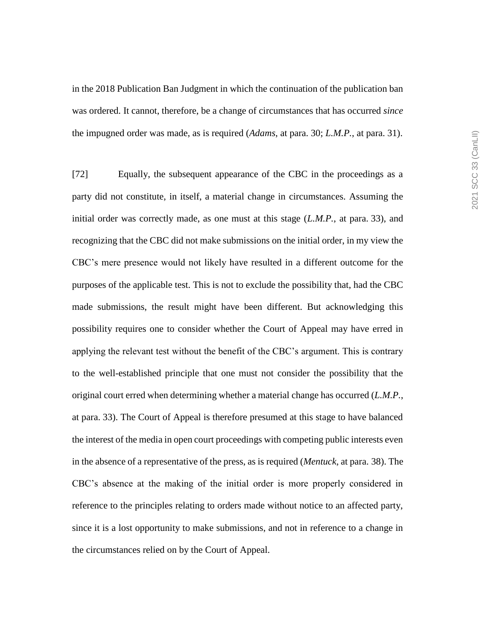in the 2018 Publication Ban Judgment in which the continuation of the publication ban was ordered. It cannot, therefore, be a change of circumstances that has occurred *since* the impugned order was made, as is required (*Adams*, at para. 30; *L.M.P.*, at para. 31).

[72] Equally, the subsequent appearance of the CBC in the proceedings as a party did not constitute, in itself, a material change in circumstances. Assuming the initial order was correctly made, as one must at this stage (*L.M.P.*, at para. 33), and recognizing that the CBC did not make submissions on the initial order, in my view the CBC's mere presence would not likely have resulted in a different outcome for the purposes of the applicable test. This is not to exclude the possibility that, had the CBC made submissions, the result might have been different. But acknowledging this possibility requires one to consider whether the Court of Appeal may have erred in applying the relevant test without the benefit of the CBC's argument. This is contrary to the well-established principle that one must not consider the possibility that the original court erred when determining whether a material change has occurred (*L.M.P.*, at para. 33). The Court of Appeal is therefore presumed at this stage to have balanced the interest of the media in open court proceedings with competing public interests even in the absence of a representative of the press, as is required (*Mentuck*, at para. 38). The CBC's absence at the making of the initial order is more properly considered in reference to the principles relating to orders made without notice to an affected party, since it is a lost opportunity to make submissions, and not in reference to a change in the circumstances relied on by the Court of Appeal.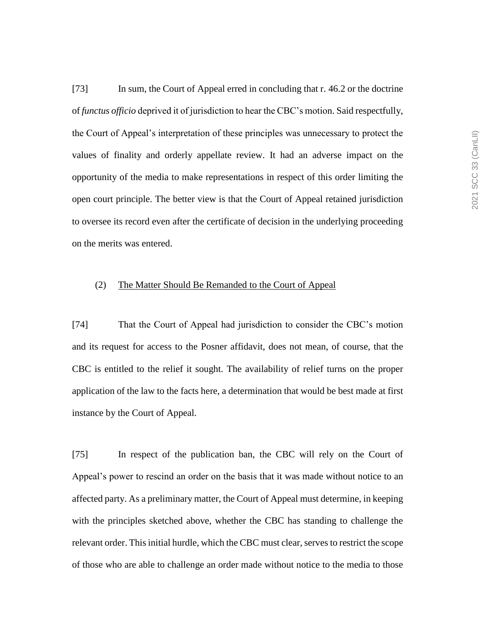[73] In sum, the Court of Appeal erred in concluding that r. 46.2 or the doctrine of *functus officio* deprived it of jurisdiction to hear the CBC's motion. Said respectfully, the Court of Appeal's interpretation of these principles was unnecessary to protect the values of finality and orderly appellate review. It had an adverse impact on the opportunity of the media to make representations in respect of this order limiting the open court principle. The better view is that the Court of Appeal retained jurisdiction to oversee its record even after the certificate of decision in the underlying proceeding on the merits was entered.

## (2) The Matter Should Be Remanded to the Court of Appeal

[74] That the Court of Appeal had jurisdiction to consider the CBC's motion and its request for access to the Posner affidavit, does not mean, of course, that the CBC is entitled to the relief it sought. The availability of relief turns on the proper application of the law to the facts here, a determination that would be best made at first instance by the Court of Appeal.

[75] In respect of the publication ban, the CBC will rely on the Court of Appeal's power to rescind an order on the basis that it was made without notice to an affected party. As a preliminary matter, the Court of Appeal must determine, in keeping with the principles sketched above, whether the CBC has standing to challenge the relevant order. This initial hurdle, which the CBC must clear, serves to restrict the scope of those who are able to challenge an order made without notice to the media to those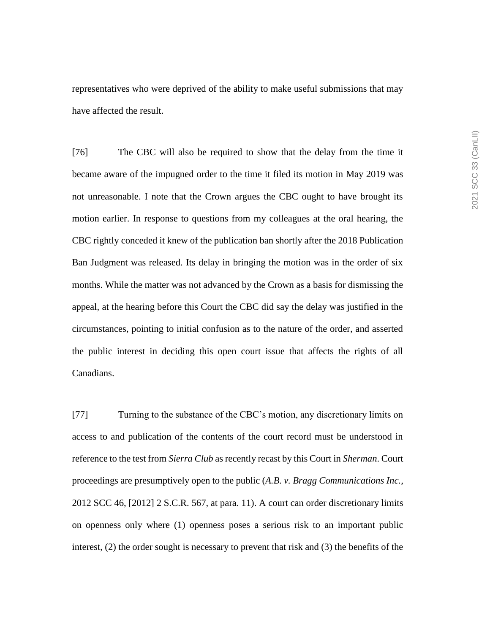representatives who were deprived of the ability to make useful submissions that may have affected the result.

[76] The CBC will also be required to show that the delay from the time it became aware of the impugned order to the time it filed its motion in May 2019 was not unreasonable. I note that the Crown argues the CBC ought to have brought its motion earlier. In response to questions from my colleagues at the oral hearing, the CBC rightly conceded it knew of the publication ban shortly after the 2018 Publication Ban Judgment was released. Its delay in bringing the motion was in the order of six months. While the matter was not advanced by the Crown as a basis for dismissing the appeal, at the hearing before this Court the CBC did say the delay was justified in the circumstances, pointing to initial confusion as to the nature of the order, and asserted the public interest in deciding this open court issue that affects the rights of all Canadians.

[77] Turning to the substance of the CBC's motion, any discretionary limits on access to and publication of the contents of the court record must be understood in reference to the test from *Sierra Club* as recently recast by this Court in *Sherman*. Court proceedings are presumptively open to the public (*A.B. v. Bragg Communications Inc.*, 2012 SCC 46, [2012] 2 S.C.R. 567, at para. 11). A court can order discretionary limits on openness only where (1) openness poses a serious risk to an important public interest, (2) the order sought is necessary to prevent that risk and (3) the benefits of the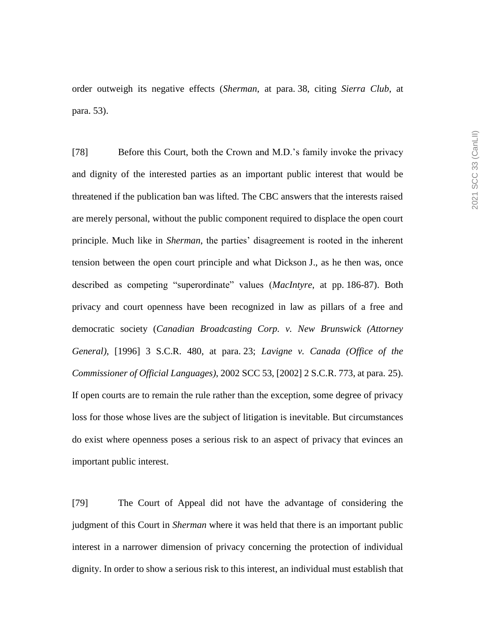order outweigh its negative effects (*Sherman*, at para. 38, citing *Sierra Club*, at para. 53).

[78] Before this Court, both the Crown and M.D.'s family invoke the privacy and dignity of the interested parties as an important public interest that would be threatened if the publication ban was lifted. The CBC answers that the interests raised are merely personal, without the public component required to displace the open court principle. Much like in *Sherman*, the parties' disagreement is rooted in the inherent tension between the open court principle and what Dickson J., as he then was, once described as competing "superordinate" values (*MacIntyre*, at pp. 186-87). Both privacy and court openness have been recognized in law as pillars of a free and democratic society (*Canadian Broadcasting Corp. v. New Brunswick (Attorney General)*, [1996] 3 S.C.R. 480, at para. 23; *Lavigne v. Canada (Office of the Commissioner of Official Languages)*, 2002 SCC 53, [2002] 2 S.C.R. 773, at para. 25). If open courts are to remain the rule rather than the exception, some degree of privacy loss for those whose lives are the subject of litigation is inevitable. But circumstances do exist where openness poses a serious risk to an aspect of privacy that evinces an important public interest.

[79] The Court of Appeal did not have the advantage of considering the judgment of this Court in *Sherman* where it was held that there is an important public interest in a narrower dimension of privacy concerning the protection of individual dignity. In order to show a serious risk to this interest, an individual must establish that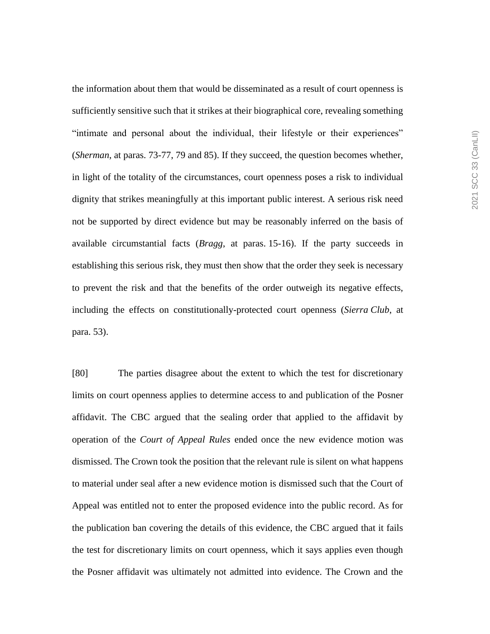the information about them that would be disseminated as a result of court openness is sufficiently sensitive such that it strikes at their biographical core, revealing something "intimate and personal about the individual, their lifestyle or their experiences" (*Sherman*, at paras. 73-77, 79 and 85). If they succeed, the question becomes whether, in light of the totality of the circumstances, court openness poses a risk to individual dignity that strikes meaningfully at this important public interest. A serious risk need not be supported by direct evidence but may be reasonably inferred on the basis of available circumstantial facts (*Bragg*, at paras. 15-16). If the party succeeds in establishing this serious risk, they must then show that the order they seek is necessary to prevent the risk and that the benefits of the order outweigh its negative effects, including the effects on constitutionally-protected court openness (*Sierra Club*, at para. 53).

[80] The parties disagree about the extent to which the test for discretionary limits on court openness applies to determine access to and publication of the Posner affidavit. The CBC argued that the sealing order that applied to the affidavit by operation of the *Court of Appeal Rules* ended once the new evidence motion was dismissed. The Crown took the position that the relevant rule is silent on what happens to material under seal after a new evidence motion is dismissed such that the Court of Appeal was entitled not to enter the proposed evidence into the public record. As for the publication ban covering the details of this evidence, the CBC argued that it fails the test for discretionary limits on court openness, which it says applies even though the Posner affidavit was ultimately not admitted into evidence. The Crown and the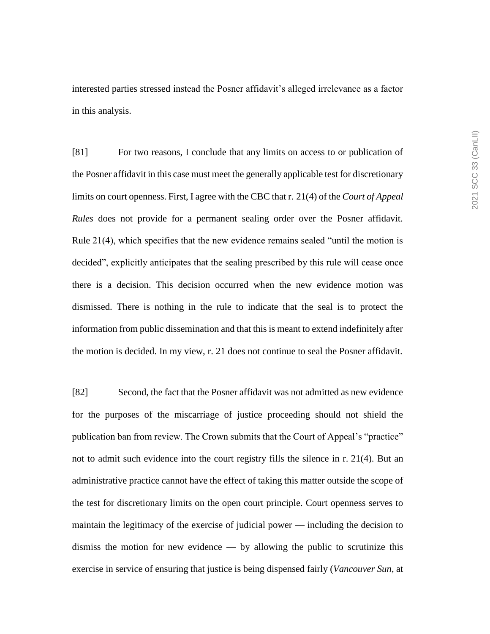interested parties stressed instead the Posner affidavit's alleged irrelevance as a factor in this analysis.

[81] For two reasons, I conclude that any limits on access to or publication of the Posner affidavit in this case must meet the generally applicable test for discretionary limits on court openness. First, I agree with the CBC that r. 21(4) of the *Court of Appeal Rules* does not provide for a permanent sealing order over the Posner affidavit. Rule 21(4), which specifies that the new evidence remains sealed "until the motion is decided", explicitly anticipates that the sealing prescribed by this rule will cease once there is a decision. This decision occurred when the new evidence motion was dismissed. There is nothing in the rule to indicate that the seal is to protect the information from public dissemination and that this is meant to extend indefinitely after the motion is decided. In my view, r. 21 does not continue to seal the Posner affidavit.

[82] Second, the fact that the Posner affidavit was not admitted as new evidence for the purposes of the miscarriage of justice proceeding should not shield the publication ban from review. The Crown submits that the Court of Appeal's "practice" not to admit such evidence into the court registry fills the silence in r. 21(4). But an administrative practice cannot have the effect of taking this matter outside the scope of the test for discretionary limits on the open court principle. Court openness serves to maintain the legitimacy of the exercise of judicial power — including the decision to dismiss the motion for new evidence — by allowing the public to scrutinize this exercise in service of ensuring that justice is being dispensed fairly (*Vancouver Sun*, at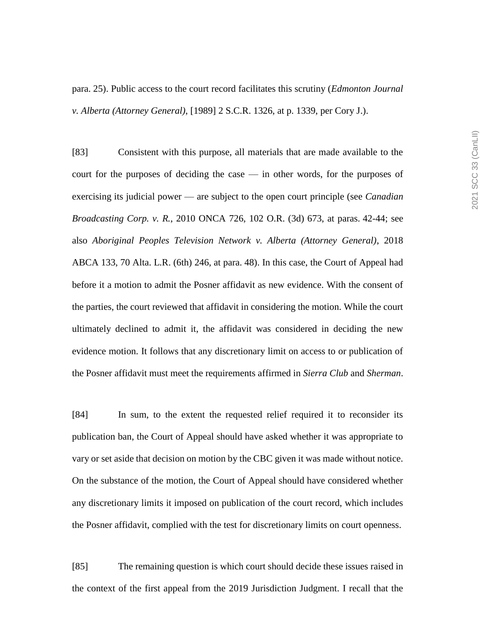para. 25). Public access to the court record facilitates this scrutiny (*Edmonton Journal v. Alberta (Attorney General)*, [1989] 2 S.C.R. 1326, at p. 1339, per Cory J.).

[83] Consistent with this purpose, all materials that are made available to the court for the purposes of deciding the case — in other words, for the purposes of exercising its judicial power — are subject to the open court principle (see *Canadian Broadcasting Corp. v. R.*, 2010 ONCA 726, 102 O.R. (3d) 673, at paras. 42-44; see also *Aboriginal Peoples Television Network v. Alberta (Attorney General)*, 2018 ABCA 133, 70 Alta. L.R. (6th) 246, at para. 48). In this case, the Court of Appeal had before it a motion to admit the Posner affidavit as new evidence. With the consent of the parties, the court reviewed that affidavit in considering the motion. While the court ultimately declined to admit it, the affidavit was considered in deciding the new evidence motion. It follows that any discretionary limit on access to or publication of the Posner affidavit must meet the requirements affirmed in *Sierra Club* and *Sherman*.

[84] In sum, to the extent the requested relief required it to reconsider its publication ban, the Court of Appeal should have asked whether it was appropriate to vary or set aside that decision on motion by the CBC given it was made without notice. On the substance of the motion, the Court of Appeal should have considered whether any discretionary limits it imposed on publication of the court record, which includes the Posner affidavit, complied with the test for discretionary limits on court openness.

[85] The remaining question is which court should decide these issues raised in the context of the first appeal from the 2019 Jurisdiction Judgment. I recall that the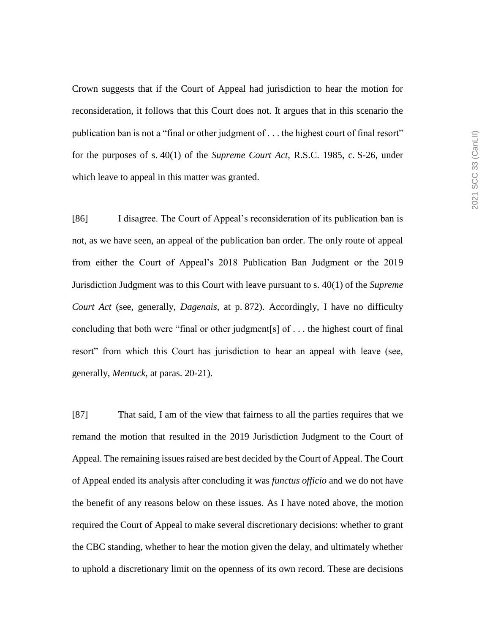Crown suggests that if the Court of Appeal had jurisdiction to hear the motion for reconsideration, it follows that this Court does not. It argues that in this scenario the publication ban is not a "final or other judgment of . . . the highest court of final resort" for the purposes of s. 40(1) of the *Supreme Court Act*, R.S.C. 1985, c. S-26, under which leave to appeal in this matter was granted.

[86] I disagree. The Court of Appeal's reconsideration of its publication ban is not, as we have seen, an appeal of the publication ban order. The only route of appeal from either the Court of Appeal's 2018 Publication Ban Judgment or the 2019 Jurisdiction Judgment was to this Court with leave pursuant to s. 40(1) of the *Supreme Court Act* (see, generally, *Dagenais*, at p. 872). Accordingly, I have no difficulty concluding that both were "final or other judgment[s] of . . . the highest court of final resort" from which this Court has jurisdiction to hear an appeal with leave (see, generally, *Mentuck*, at paras. 20-21).

[87] That said, I am of the view that fairness to all the parties requires that we remand the motion that resulted in the 2019 Jurisdiction Judgment to the Court of Appeal. The remaining issues raised are best decided by the Court of Appeal. The Court of Appeal ended its analysis after concluding it was *functus officio* and we do not have the benefit of any reasons below on these issues. As I have noted above, the motion required the Court of Appeal to make several discretionary decisions: whether to grant the CBC standing, whether to hear the motion given the delay, and ultimately whether to uphold a discretionary limit on the openness of its own record. These are decisions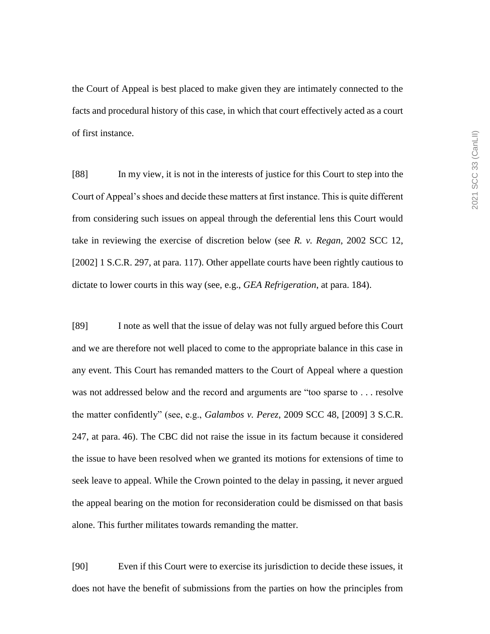the Court of Appeal is best placed to make given they are intimately connected to the facts and procedural history of this case, in which that court effectively acted as a court of first instance.

[88] In my view, it is not in the interests of justice for this Court to step into the Court of Appeal's shoes and decide these matters at first instance. This is quite different from considering such issues on appeal through the deferential lens this Court would take in reviewing the exercise of discretion below (see *R. v. Regan*, 2002 SCC 12, [2002] 1 S.C.R. 297, at para. 117). Other appellate courts have been rightly cautious to dictate to lower courts in this way (see, e.g., *GEA Refrigeration*, at para. 184).

[89] I note as well that the issue of delay was not fully argued before this Court and we are therefore not well placed to come to the appropriate balance in this case in any event. This Court has remanded matters to the Court of Appeal where a question was not addressed below and the record and arguments are "too sparse to . . . resolve the matter confidently" (see, e.g., *Galambos v. Perez*, 2009 SCC 48, [2009] 3 S.C.R. 247, at para. 46). The CBC did not raise the issue in its factum because it considered the issue to have been resolved when we granted its motions for extensions of time to seek leave to appeal. While the Crown pointed to the delay in passing, it never argued the appeal bearing on the motion for reconsideration could be dismissed on that basis alone. This further militates towards remanding the matter.

[90] Even if this Court were to exercise its jurisdiction to decide these issues, it does not have the benefit of submissions from the parties on how the principles from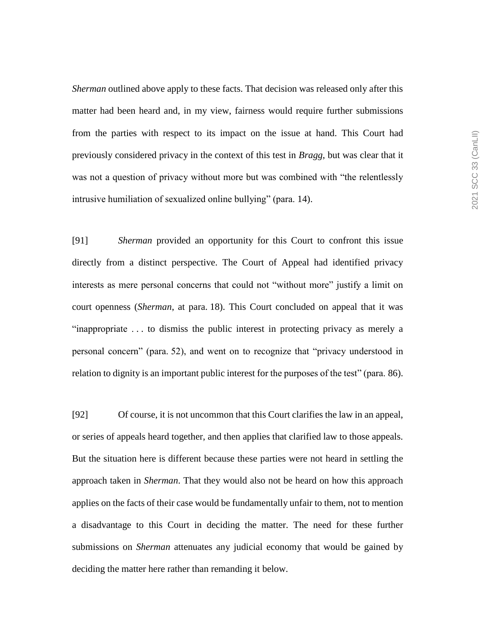*Sherman* outlined above apply to these facts. That decision was released only after this matter had been heard and, in my view, fairness would require further submissions from the parties with respect to its impact on the issue at hand. This Court had previously considered privacy in the context of this test in *Bragg*, but was clear that it was not a question of privacy without more but was combined with "the relentlessly intrusive humiliation of sexualized online bullying" (para. 14).

[91] *Sherman* provided an opportunity for this Court to confront this issue directly from a distinct perspective. The Court of Appeal had identified privacy interests as mere personal concerns that could not "without more" justify a limit on court openness (*Sherman*, at para. 18). This Court concluded on appeal that it was "inappropriate . . . to dismiss the public interest in protecting privacy as merely a personal concern" (para. 52), and went on to recognize that "privacy understood in relation to dignity is an important public interest for the purposes of the test" (para. 86).

[92] Of course, it is not uncommon that this Court clarifies the law in an appeal, or series of appeals heard together, and then applies that clarified law to those appeals. But the situation here is different because these parties were not heard in settling the approach taken in *Sherman*. That they would also not be heard on how this approach applies on the facts of their case would be fundamentally unfair to them, not to mention a disadvantage to this Court in deciding the matter. The need for these further submissions on *Sherman* attenuates any judicial economy that would be gained by deciding the matter here rather than remanding it below.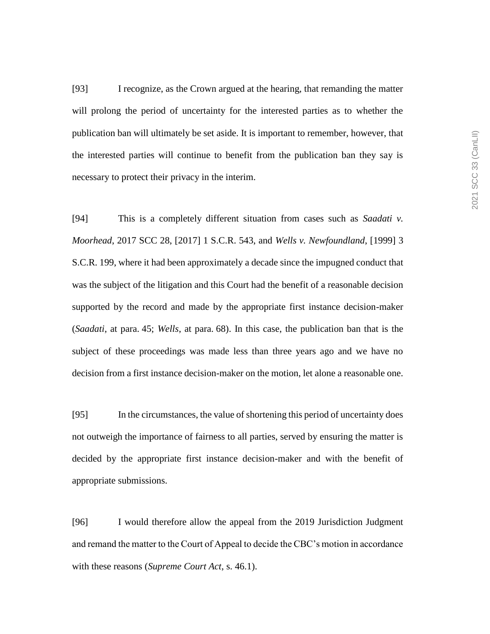[93] I recognize, as the Crown argued at the hearing, that remanding the matter will prolong the period of uncertainty for the interested parties as to whether the publication ban will ultimately be set aside. It is important to remember, however, that the interested parties will continue to benefit from the publication ban they say is necessary to protect their privacy in the interim.

[94] This is a completely different situation from cases such as *Saadati v. Moorhead*, 2017 SCC 28, [2017] 1 S.C.R. 543, and *Wells v. Newfoundland*, [1999] 3 S.C.R. 199, where it had been approximately a decade since the impugned conduct that was the subject of the litigation and this Court had the benefit of a reasonable decision supported by the record and made by the appropriate first instance decision-maker (*Saadati*, at para. 45; *Wells*, at para. 68). In this case, the publication ban that is the subject of these proceedings was made less than three years ago and we have no decision from a first instance decision-maker on the motion, let alone a reasonable one.

[95] In the circumstances, the value of shortening this period of uncertainty does not outweigh the importance of fairness to all parties, served by ensuring the matter is decided by the appropriate first instance decision-maker and with the benefit of appropriate submissions.

[96] I would therefore allow the appeal from the 2019 Jurisdiction Judgment and remand the matter to the Court of Appeal to decide the CBC's motion in accordance with these reasons (*Supreme Court Act*, s. 46.1).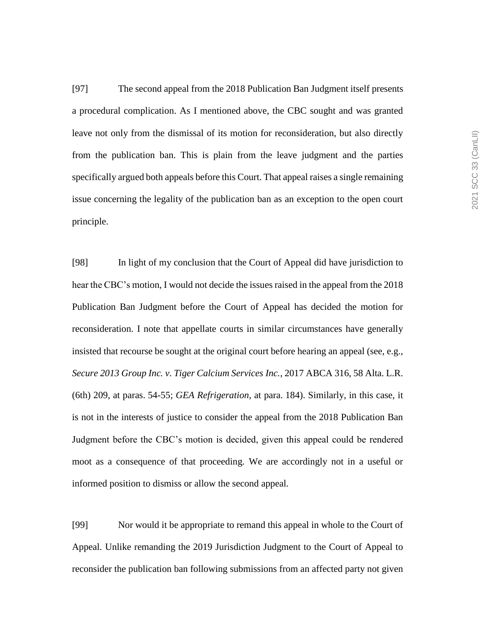[97] The second appeal from the 2018 Publication Ban Judgment itself presents a procedural complication. As I mentioned above, the CBC sought and was granted leave not only from the dismissal of its motion for reconsideration, but also directly from the publication ban. This is plain from the leave judgment and the parties specifically argued both appeals before this Court. That appeal raises a single remaining issue concerning the legality of the publication ban as an exception to the open court principle.

[98] In light of my conclusion that the Court of Appeal did have jurisdiction to hear the CBC's motion, I would not decide the issues raised in the appeal from the 2018 Publication Ban Judgment before the Court of Appeal has decided the motion for reconsideration. I note that appellate courts in similar circumstances have generally insisted that recourse be sought at the original court before hearing an appeal (see, e.g., *Secure 2013 Group Inc. v. Tiger Calcium Services Inc.*, 2017 ABCA 316, 58 Alta. L.R. (6th) 209, at paras. 54-55; *GEA Refrigeration*, at para. 184). Similarly, in this case, it is not in the interests of justice to consider the appeal from the 2018 Publication Ban Judgment before the CBC's motion is decided, given this appeal could be rendered moot as a consequence of that proceeding. We are accordingly not in a useful or informed position to dismiss or allow the second appeal.

[99] Nor would it be appropriate to remand this appeal in whole to the Court of Appeal. Unlike remanding the 2019 Jurisdiction Judgment to the Court of Appeal to reconsider the publication ban following submissions from an affected party not given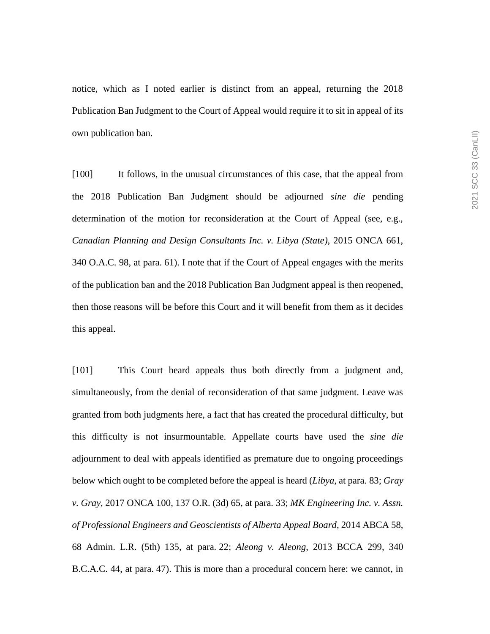notice, which as I noted earlier is distinct from an appeal, returning the 2018 Publication Ban Judgment to the Court of Appeal would require it to sit in appeal of its own publication ban.

[100] It follows, in the unusual circumstances of this case, that the appeal from the 2018 Publication Ban Judgment should be adjourned *sine die* pending determination of the motion for reconsideration at the Court of Appeal (see, e.g., *Canadian Planning and Design Consultants Inc. v. Libya (State)*, 2015 ONCA 661, 340 O.A.C. 98, at para. 61). I note that if the Court of Appeal engages with the merits of the publication ban and the 2018 Publication Ban Judgment appeal is then reopened, then those reasons will be before this Court and it will benefit from them as it decides this appeal.

[101] This Court heard appeals thus both directly from a judgment and, simultaneously, from the denial of reconsideration of that same judgment. Leave was granted from both judgments here, a fact that has created the procedural difficulty, but this difficulty is not insurmountable. Appellate courts have used the *sine die*  adjournment to deal with appeals identified as premature due to ongoing proceedings below which ought to be completed before the appeal is heard (*Libya*, at para. 83; *Gray v. Gray*, 2017 ONCA 100, 137 O.R. (3d) 65, at para. 33; *MK Engineering Inc. v. Assn. of Professional Engineers and Geoscientists of Alberta Appeal Board*, 2014 ABCA 58, 68 Admin. L.R. (5th) 135, at para. 22; *Aleong v. Aleong*, 2013 BCCA 299, 340 B.C.A.C. 44, at para. 47). This is more than a procedural concern here: we cannot, in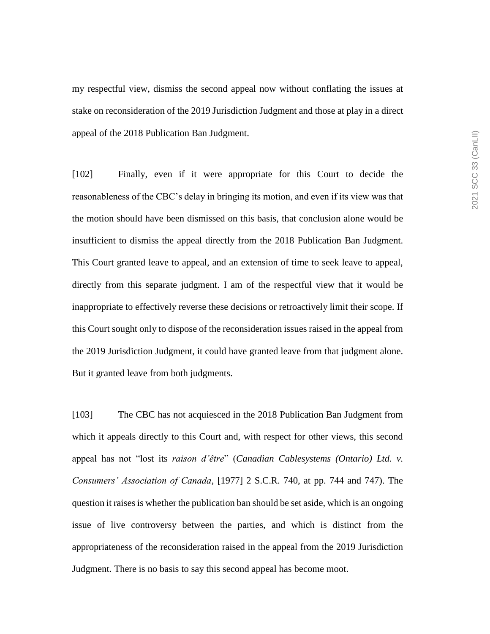my respectful view, dismiss the second appeal now without conflating the issues at stake on reconsideration of the 2019 Jurisdiction Judgment and those at play in a direct appeal of the 2018 Publication Ban Judgment.

[102] Finally, even if it were appropriate for this Court to decide the reasonableness of the CBC's delay in bringing its motion, and even if its view was that the motion should have been dismissed on this basis, that conclusion alone would be insufficient to dismiss the appeal directly from the 2018 Publication Ban Judgment. This Court granted leave to appeal, and an extension of time to seek leave to appeal, directly from this separate judgment. I am of the respectful view that it would be inappropriate to effectively reverse these decisions or retroactively limit their scope. If this Court sought only to dispose of the reconsideration issues raised in the appeal from the 2019 Jurisdiction Judgment, it could have granted leave from that judgment alone. But it granted leave from both judgments.

[103] The CBC has not acquiesced in the 2018 Publication Ban Judgment from which it appeals directly to this Court and, with respect for other views, this second appeal has not "lost its *raison d'être*" (*Canadian Cablesystems (Ontario) Ltd. v. Consumers' Association of Canada*, [1977] 2 S.C.R. 740, at pp. 744 and 747). The question it raises is whether the publication ban should be set aside, which is an ongoing issue of live controversy between the parties, and which is distinct from the appropriateness of the reconsideration raised in the appeal from the 2019 Jurisdiction Judgment. There is no basis to say this second appeal has become moot.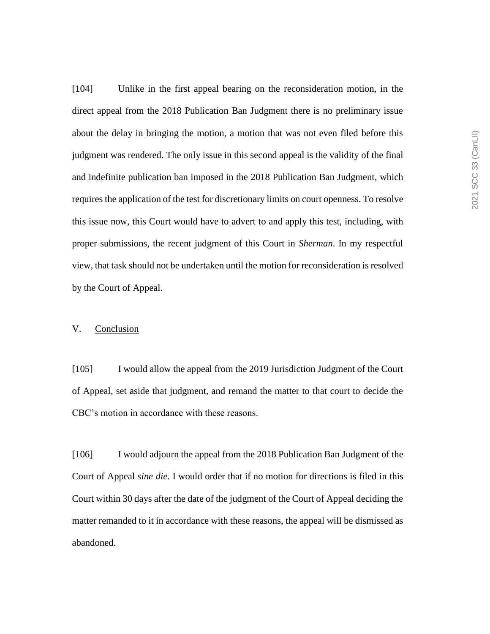[104] Unlike in the first appeal bearing on the reconsideration motion, in the direct appeal from the 2018 Publication Ban Judgment there is no preliminary issue about the delay in bringing the motion, a motion that was not even filed before this judgment was rendered. The only issue in this second appeal is the validity of the final and indefinite publication ban imposed in the 2018 Publication Ban Judgment, which requires the application of the test for discretionary limits on court openness. To resolve this issue now, this Court would have to advert to and apply this test, including, with proper submissions, the recent judgment of this Court in *Sherman*. In my respectful view, that task should not be undertaken until the motion for reconsideration is resolved by the Court of Appeal.

## V. Conclusion

[105] I would allow the appeal from the 2019 Jurisdiction Judgment of the Court of Appeal, set aside that judgment, and remand the matter to that court to decide the CBC's motion in accordance with these reasons.

[106] I would adjourn the appeal from the 2018 Publication Ban Judgment of the Court of Appeal *sine die*. I would order that if no motion for directions is filed in this Court within 30 days after the date of the judgment of the Court of Appeal deciding the matter remanded to it in accordance with these reasons, the appeal will be dismissed as abandoned.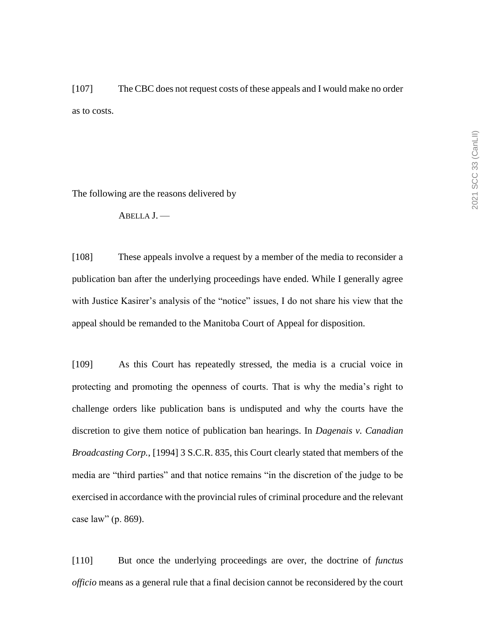[107] The CBC does not request costs of these appeals and I would make no order as to costs.

The following are the reasons delivered by

ABELLA J. —

[108] These appeals involve a request by a member of the media to reconsider a publication ban after the underlying proceedings have ended. While I generally agree with Justice Kasirer's analysis of the "notice" issues, I do not share his view that the appeal should be remanded to the Manitoba Court of Appeal for disposition.

[109] As this Court has repeatedly stressed, the media is a crucial voice in protecting and promoting the openness of courts. That is why the media's right to challenge orders like publication bans is undisputed and why the courts have the discretion to give them notice of publication ban hearings. In *Dagenais v. Canadian Broadcasting Corp.*, [1994] 3 S.C.R. 835, this Court clearly stated that members of the media are "third parties" and that notice remains "in the discretion of the judge to be exercised in accordance with the provincial rules of criminal procedure and the relevant case law" (p. 869).

[110] But once the underlying proceedings are over, the doctrine of *functus officio* means as a general rule that a final decision cannot be reconsidered by the court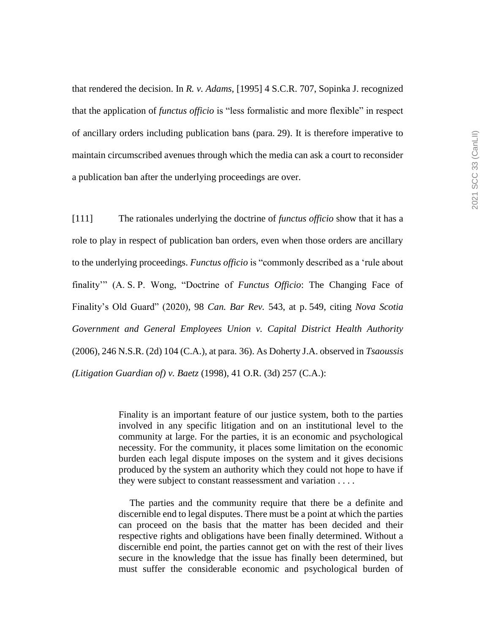that rendered the decision. In *R. v. Adams*, [1995] 4 S.C.R. 707, Sopinka J. recognized that the application of *functus officio* is "less formalistic and more flexible" in respect of ancillary orders including publication bans (para. 29). It is therefore imperative to maintain circumscribed avenues through which the media can ask a court to reconsider a publication ban after the underlying proceedings are over.

[111] The rationales underlying the doctrine of *functus officio* show that it has a role to play in respect of publication ban orders, even when those orders are ancillary to the underlying proceedings. *Functus officio* is "commonly described as a 'rule about finality'" (A. S. P. Wong, "Doctrine of *Functus Officio*: The Changing Face of Finality's Old Guard" (2020), 98 *Can. Bar Rev.* 543, at p. 549, citing *Nova Scotia Government and General Employees Union v. Capital District Health Authority*  (2006), 246 N.S.R. (2d) 104 (C.A.), at para. 36). As Doherty J.A. observed in *Tsaoussis (Litigation Guardian of) v. Baetz* (1998), 41 O.R. (3d) 257 (C.A.):

> Finality is an important feature of our justice system, both to the parties involved in any specific litigation and on an institutional level to the community at large. For the parties, it is an economic and psychological necessity. For the community, it places some limitation on the economic burden each legal dispute imposes on the system and it gives decisions produced by the system an authority which they could not hope to have if they were subject to constant reassessment and variation . . . .

> The parties and the community require that there be a definite and discernible end to legal disputes. There must be a point at which the parties can proceed on the basis that the matter has been decided and their respective rights and obligations have been finally determined. Without a discernible end point, the parties cannot get on with the rest of their lives secure in the knowledge that the issue has finally been determined, but must suffer the considerable economic and psychological burden of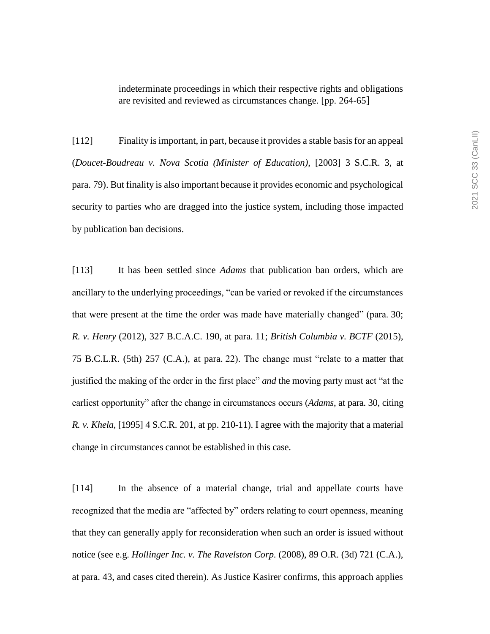indeterminate proceedings in which their respective rights and obligations are revisited and reviewed as circumstances change. [pp. 264-65]

[112] Finality is important, in part, because it provides a stable basis for an appeal (*Doucet-Boudreau v. Nova Scotia (Minister of Education)*, [2003] 3 S.C.R. 3, at para. 79). But finality is also important because it provides economic and psychological security to parties who are dragged into the justice system, including those impacted by publication ban decisions.

[113] It has been settled since *Adams* that publication ban orders, which are ancillary to the underlying proceedings, "can be varied or revoked if the circumstances that were present at the time the order was made have materially changed" (para. 30; *R. v. Henry* (2012), 327 B.C.A.C. 190, at para. 11; *British Columbia v. BCTF* (2015), 75 B.C.L.R. (5th) 257 (C.A.), at para. 22). The change must "relate to a matter that justified the making of the order in the first place" *and* the moving party must act "at the earliest opportunity" after the change in circumstances occurs (*Adams*, at para. 30, citing *R. v. Khela*, [1995] 4 S.C.R. 201, at pp. 210-11). I agree with the majority that a material change in circumstances cannot be established in this case.

[114] In the absence of a material change, trial and appellate courts have recognized that the media are "affected by" orders relating to court openness, meaning that they can generally apply for reconsideration when such an order is issued without notice (see e.g. *Hollinger Inc. v. The Ravelston Corp.* (2008), 89 O.R. (3d) 721 (C.A.), at para. 43, and cases cited therein). As Justice Kasirer confirms, this approach applies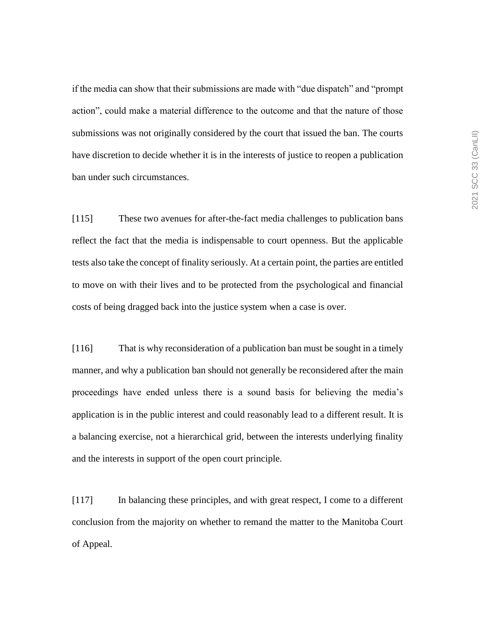if the media can show that their submissions are made with "due dispatch" and "prompt action", could make a material difference to the outcome and that the nature of those submissions was not originally considered by the court that issued the ban. The courts have discretion to decide whether it is in the interests of justice to reopen a publication ban under such circumstances.

[115] These two avenues for after-the-fact media challenges to publication bans reflect the fact that the media is indispensable to court openness. But the applicable tests also take the concept of finality seriously. At a certain point, the parties are entitled to move on with their lives and to be protected from the psychological and financial costs of being dragged back into the justice system when a case is over.

[116] That is why reconsideration of a publication ban must be sought in a timely manner, and why a publication ban should not generally be reconsidered after the main proceedings have ended unless there is a sound basis for believing the media's application is in the public interest and could reasonably lead to a different result. It is a balancing exercise, not a hierarchical grid, between the interests underlying finality and the interests in support of the open court principle.

[117] In balancing these principles, and with great respect, I come to a different conclusion from the majority on whether to remand the matter to the Manitoba Court of Appeal.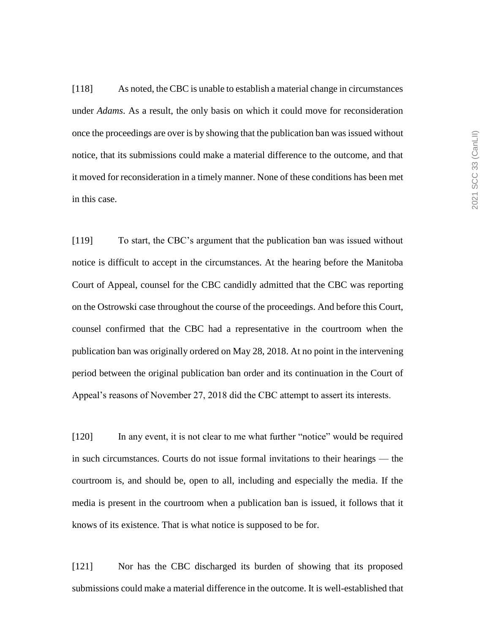[118] As noted, the CBC is unable to establish a material change in circumstances under *Adams*. As a result, the only basis on which it could move for reconsideration once the proceedings are over is by showing that the publication ban was issued without notice, that its submissions could make a material difference to the outcome, and that it moved for reconsideration in a timely manner. None of these conditions has been met in this case.

[119] To start, the CBC's argument that the publication ban was issued without notice is difficult to accept in the circumstances. At the hearing before the Manitoba Court of Appeal, counsel for the CBC candidly admitted that the CBC was reporting on the Ostrowski case throughout the course of the proceedings. And before this Court, counsel confirmed that the CBC had a representative in the courtroom when the publication ban was originally ordered on May 28, 2018. At no point in the intervening period between the original publication ban order and its continuation in the Court of Appeal's reasons of November 27, 2018 did the CBC attempt to assert its interests.

[120] In any event, it is not clear to me what further "notice" would be required in such circumstances. Courts do not issue formal invitations to their hearings — the courtroom is, and should be, open to all, including and especially the media. If the media is present in the courtroom when a publication ban is issued, it follows that it knows of its existence. That is what notice is supposed to be for.

[121] Nor has the CBC discharged its burden of showing that its proposed submissions could make a material difference in the outcome. It is well-established that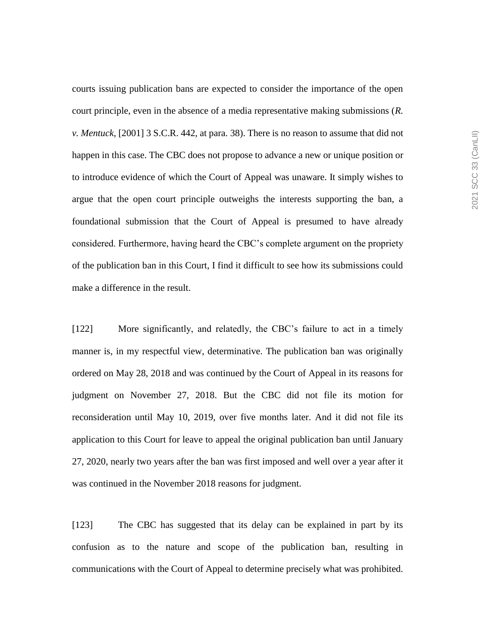courts issuing publication bans are expected to consider the importance of the open court principle, even in the absence of a media representative making submissions (*R. v. Mentuck*, [2001] 3 S.C.R. 442, at para. 38). There is no reason to assume that did not happen in this case. The CBC does not propose to advance a new or unique position or to introduce evidence of which the Court of Appeal was unaware. It simply wishes to argue that the open court principle outweighs the interests supporting the ban, a foundational submission that the Court of Appeal is presumed to have already considered. Furthermore, having heard the CBC's complete argument on the propriety of the publication ban in this Court, I find it difficult to see how its submissions could make a difference in the result.

[122] More significantly, and relatedly, the CBC's failure to act in a timely manner is, in my respectful view, determinative. The publication ban was originally ordered on May 28, 2018 and was continued by the Court of Appeal in its reasons for judgment on November 27, 2018. But the CBC did not file its motion for reconsideration until May 10, 2019, over five months later. And it did not file its application to this Court for leave to appeal the original publication ban until January 27, 2020, nearly two years after the ban was first imposed and well over a year after it was continued in the November 2018 reasons for judgment.

[123] The CBC has suggested that its delay can be explained in part by its confusion as to the nature and scope of the publication ban, resulting in communications with the Court of Appeal to determine precisely what was prohibited.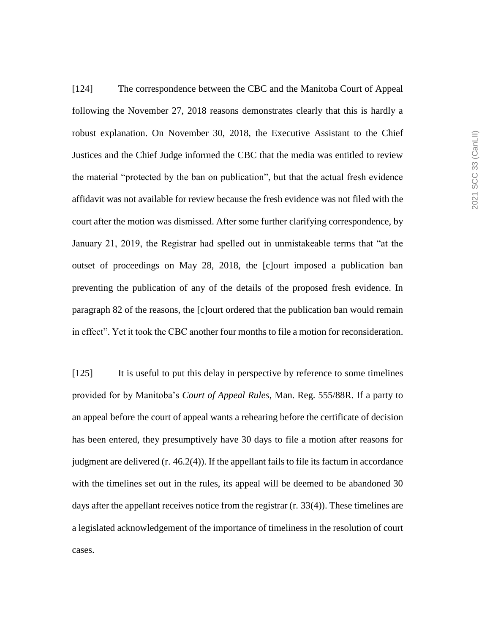[124] The correspondence between the CBC and the Manitoba Court of Appeal following the November 27, 2018 reasons demonstrates clearly that this is hardly a robust explanation. On November 30, 2018, the Executive Assistant to the Chief Justices and the Chief Judge informed the CBC that the media was entitled to review the material "protected by the ban on publication", but that the actual fresh evidence affidavit was not available for review because the fresh evidence was not filed with the court after the motion was dismissed. After some further clarifying correspondence, by January 21, 2019, the Registrar had spelled out in unmistakeable terms that "at the outset of proceedings on May 28, 2018, the [c]ourt imposed a publication ban preventing the publication of any of the details of the proposed fresh evidence. In paragraph 82 of the reasons, the [c]ourt ordered that the publication ban would remain in effect". Yet it took the CBC another four months to file a motion for reconsideration.

[125] It is useful to put this delay in perspective by reference to some timelines provided for by Manitoba's *Court of Appeal Rules*, Man. Reg. 555/88R. If a party to an appeal before the court of appeal wants a rehearing before the certificate of decision has been entered, they presumptively have 30 days to file a motion after reasons for judgment are delivered (r. 46.2(4)). If the appellant fails to file its factum in accordance with the timelines set out in the rules, its appeal will be deemed to be abandoned 30 days after the appellant receives notice from the registrar (r. 33(4)). These timelines are a legislated acknowledgement of the importance of timeliness in the resolution of court cases.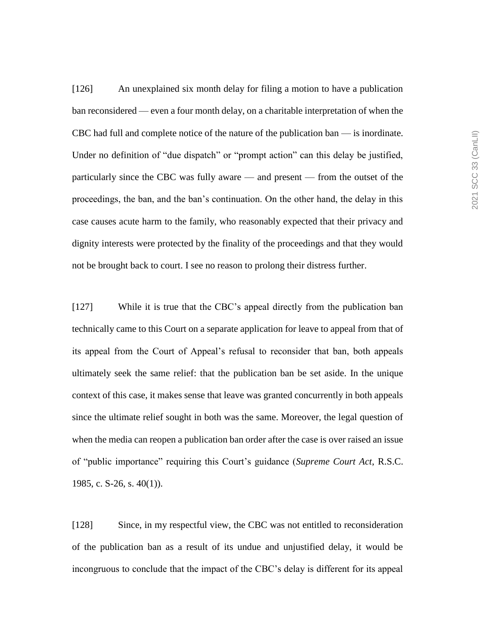[126] An unexplained six month delay for filing a motion to have a publication ban reconsidered — even a four month delay, on a charitable interpretation of when the CBC had full and complete notice of the nature of the publication ban — is inordinate. Under no definition of "due dispatch" or "prompt action" can this delay be justified, particularly since the CBC was fully aware — and present — from the outset of the proceedings, the ban, and the ban's continuation. On the other hand, the delay in this case causes acute harm to the family, who reasonably expected that their privacy and dignity interests were protected by the finality of the proceedings and that they would not be brought back to court. I see no reason to prolong their distress further.

[127] While it is true that the CBC's appeal directly from the publication ban technically came to this Court on a separate application for leave to appeal from that of its appeal from the Court of Appeal's refusal to reconsider that ban, both appeals ultimately seek the same relief: that the publication ban be set aside. In the unique context of this case, it makes sense that leave was granted concurrently in both appeals since the ultimate relief sought in both was the same. Moreover, the legal question of when the media can reopen a publication ban order after the case is over raised an issue of "public importance" requiring this Court's guidance (*Supreme Court Act*, R.S.C. 1985, c. S-26, s. 40(1)).

[128] Since, in my respectful view, the CBC was not entitled to reconsideration of the publication ban as a result of its undue and unjustified delay, it would be incongruous to conclude that the impact of the CBC's delay is different for its appeal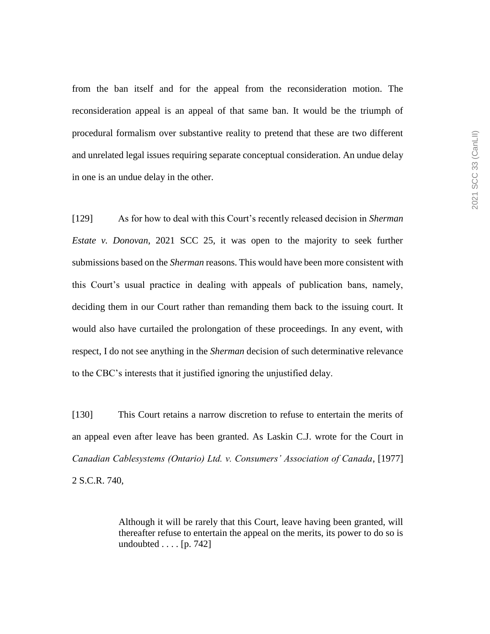from the ban itself and for the appeal from the reconsideration motion. The reconsideration appeal is an appeal of that same ban. It would be the triumph of procedural formalism over substantive reality to pretend that these are two different and unrelated legal issues requiring separate conceptual consideration. An undue delay in one is an undue delay in the other.

[129] As for how to deal with this Court's recently released decision in *Sherman Estate v. Donovan*, 2021 SCC 25, it was open to the majority to seek further submissions based on the *Sherman* reasons. This would have been more consistent with this Court's usual practice in dealing with appeals of publication bans, namely, deciding them in our Court rather than remanding them back to the issuing court. It would also have curtailed the prolongation of these proceedings. In any event, with respect, I do not see anything in the *Sherman* decision of such determinative relevance to the CBC's interests that it justified ignoring the unjustified delay.

[130] This Court retains a narrow discretion to refuse to entertain the merits of an appeal even after leave has been granted. As Laskin C.J. wrote for the Court in *Canadian Cablesystems (Ontario) Ltd. v. Consumers' Association of Canada*, [1977] 2 S.C.R. 740,

> Although it will be rarely that this Court, leave having been granted, will thereafter refuse to entertain the appeal on the merits, its power to do so is undoubted  $\ldots$  [p. 742]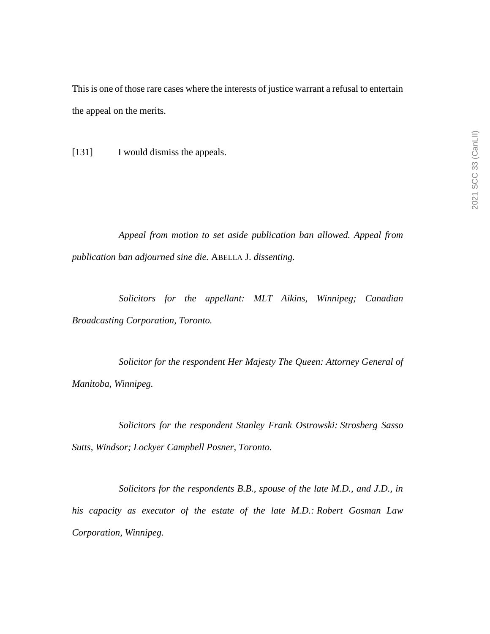This is one of those rare cases where the interests of justice warrant a refusal to entertain the appeal on the merits.

[131] I would dismiss the appeals.

*Appeal from motion to set aside publication ban allowed. Appeal from publication ban adjourned sine die.* ABELLA J. *dissenting.*

*Solicitors for the appellant: MLT Aikins, Winnipeg; Canadian Broadcasting Corporation, Toronto.* 

*Solicitor for the respondent Her Majesty The Queen: Attorney General of Manitoba, Winnipeg.*

*Solicitors for the respondent Stanley Frank Ostrowski: Strosberg Sasso Sutts, Windsor; Lockyer Campbell Posner, Toronto.*

*Solicitors for the respondents B.B., spouse of the late M.D., and J.D., in his capacity as executor of the estate of the late M.D.: Robert Gosman Law Corporation, Winnipeg.*